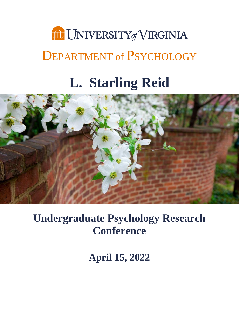

# DEPARTMENT of PSYCHOLOGY

# **L. Starling Reid**



**Undergraduate Psychology Research Conference**

**April 15, 2022**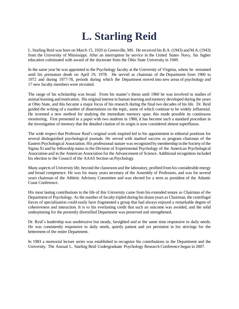# **L. Starling Reid**

L. Starling Reid was born on March 15, 1920 in Greenville, MS. He received his B.A. (1943) andM.A.(1943) from the University of Mississippi. After an interruption by service in the United States Navy, his higher education culminated with award of the doctorate from the Ohio State University in 1949.

In the same year he was appointed to the Psychology faculty at the University of Virginia, where he remained until his premature death on April 19, 1978. He served as chairman of the Department from 1960 to 1972 and during 1977-78, periods during which the Department moved into new areas of psychology and 17 new faculty members were recruited.

The range of his scholarship was broad. From his master's thesis until 1960 he was involved in studies of animal learning andmotivation. His original interest in human learning andmemory developed during the years at Ohio State, and this became a major focus of his research during the final two decades of his life. Dr. Reid guided the writing of a number of dissertations on the topic, some of which continue to be widely influential. He invented a new method for studying the immediate memory span; this made possible its continuous monitoring. First presented in a paper with two students in 1960, it has become such a standard procedure in the investigation of memory that the detailed citation of its origin is now considered almost superfluous.

The wide respect that Professor Reid's original work inspired led to his appointment to editorial positions for several distinguished psychological journals. He served with marked success as program chairman of the Eastern Psychological Association. His professional stature was recognized by membership in the Society of the Sigma Xi and by fellowship status in the Division of Experimental Psychology of the American Psychological Association and in the American Association for the Advancement of Science. Additional recognition included his election to the Council of the AAAS Section on Psychology.

Many aspects of University life, beyond the classroom and the laboratory, profited from his considerable energy and broad competence. He was for many years secretary of the Assembly of Professors, and was for several years chairman of the Athletic Advisory Committee and was elected for a term as president of the Atlantic Coast Conference.

His most lasting contributions to the life of this University came from his extended tenure as Chairman of the Department of Psychology. As the number of faculty tripled during his dozen years as Chairman, the centrifugal forces of specialization could easily have fragmented a group that had always enjoyed a remarkable degree of cohesiveness and interaction. It is to his everlasting credit that such an outcome was avoided, and the solid underpinning for the presently diversified Department was preserved and strengthened.

Dr. Reid's leadership was unobtrusive but steady, farsighted and at the same time responsive to daily needs. He was consistently responsive to daily needs, quietly patient and yet persistent in his strivings for the betterment of the entire Department.

In 1983 a memorial lecture series was established to recognize his contributions to the Department and the University. The Annual L. Starling Reid Undergraduate Psychology Research Conference began in 2007.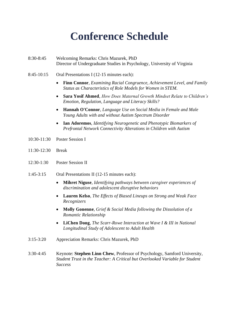# **Conference Schedule**

- 8:30-8:45 Welcoming Remarks: Chris Mazurek, PhD Director of Undergraduate Studies in Psychology, University of Virginia
- 8:45-10:15 Oral Presentations I (12-15 minutes each):
	- **Finn Connor**, *Examining Racial Congruence, Achievement Level, and Family Status as Characteristics of Role Models for Women in STEM.*
	- **Sara Yosif Ahmed**, *How Does Maternal Growth Mindset Relate to Children's Emotion, Regulation, Language and Literacy Skills?*
	- **Hannah O'Connor**, *Language Use on Social Media in Female and Male Young Adults with and without Autism Spectrum Disorder*
	- **Ian Adoremos**, *Identifying Neurogenetic and Phenotypic Biomarkers of Prefrontal Network Connectivity Alterations in Children with Autism*
- 10:30-11:30 Poster Session I
- 11:30-12:30 Break
- 12:30-1:30 Poster Session II
- 1:45-3:15 Oral Presentations II (12-15 minutes each):
	- **Mihret Niguse**, *Identifying pathways between caregiver experiences of discrimination and adolescent disruptive behaviors*
	- **Lauren Kelso**, *The Effects of Biased Lineups on Strong and Weak Face Recognizers*
	- **Molly Gonenne**, *Grief & Social Media following the Dissolution of a Romantic Relationship*
	- **LiChen Dong**, *The Scarr-Rowe Interaction at Wave I & III in National Longitudinal Study of Adolescent to Adult Health*
- 3:15-3:20 Appreciation Remarks: Chris Mazurek, PhD
- 3:30-4:45 Keynote: **Stephen Linn Chew**, Professor of Psychology, Samford University, *Student Trust in the Teacher: A Critical but Overlooked Variable for Student Success*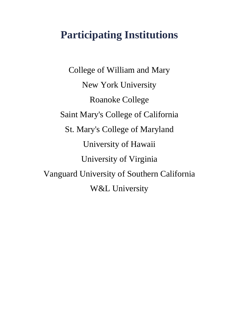# **Participating Institutions**

College of William and Mary New York University Roanoke College Saint Mary's College of California St. Mary's College of Maryland University of Hawaii University of Virginia Vanguard University of Southern California W&L University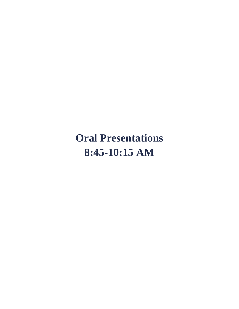# **Oral Presentations 8:45-10:15 AM**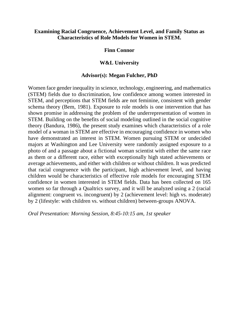## **Examining Racial Congruence, Achievement Level, and Family Status as Characteristics of Role Models for Women in STEM.**

## **Finn Connor**

## **W&L University**

## **Advisor(s): Megan Fulcher, PhD**

Women face gender inequality in science, technology, engineering, and mathematics (STEM) fields due to discrimination, low confidence among women interested in STEM, and perceptions that STEM fields are not feminine, consistent with gender schema theory (Bem, 1981). Exposure to role models is one intervention that has shown promise in addressing the problem of the underrepresentation of women in STEM. Building on the benefits of social modeling outlined in the social cognitive theory (Bandura, 1986), the present study examines which characteristics of a role model of a woman in STEM are effective in encouraging confidence in women who have demonstrated an interest in STEM. Women pursuing STEM or undecided majors at Washington and Lee University were randomly assigned exposure to a photo of and a passage about a fictional woman scientist with either the same race as them or a different race, either with exceptionally high stated achievements or average achievements, and either with children or without children. It was predicted that racial congruence with the participant, high achievement level, and having children would be characteristics of effective role models for encouraging STEM confidence in women interested in STEM fields. Data has been collected on 165 women so far through a Qualtrics survey, and it will be analyzed using a 2 (racial alignment: congruent vs. incongruent) by 2 (achievement level: high vs. moderate) by 2 (lifestyle: with children vs. without children) between-groups ANOVA.

*Oral Presentation: Morning Session, 8:45-10:15 am, 1st speaker*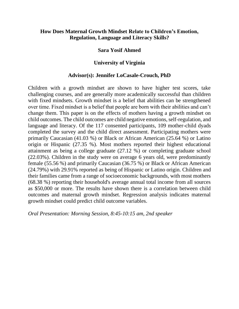# **How Does Maternal Growth Mindset Relate to Children's Emotion, Regulation, Language and Literacy Skills?**

## **Sara Yosif Ahmed**

# **University of Virginia**

## **Advisor(s): Jennifer LoCasale-Crouch, PhD**

Children with a growth mindset are shown to have higher test scores, take challenging courses, and are generally more academically successful than children with fixed mindsets. Growth mindset is a belief that abilities can be strengthened over time. Fixed mindset is a belief that people are born with their abilities and can't change them. This paper is on the effects of mothers having a growth mindset on child outcomes. The child outcomes are child negative emotions, self-regulation, and language and literacy. Of the 117 consented participants, 109 mother-child dyads completed the survey and the child direct assessment. Participating mothers were primarily Caucasian (41.03 %) or Black or African American (25.64 %) or Latino origin or Hispanic (27.35 %). Most mothers reported their highest educational attainment as being a college graduate (27.12 %) or completing graduate school (22.03%). Children in the study were on average 6 years old, were predominantly female (55.56 %) and primarily Caucasian (36.75 %) or Black or African American (24.79%) with 29.91% reported as being of Hispanic or Latino origin. Children and their families came from a range of socioeconomic backgrounds, with most mothers (68.38 %) reporting their household's average annual total income from all sources as \$50,000 or more. The results have shown there is a correlation between child outcomes and maternal growth mindset. Regression analysis indicates maternal growth mindset could predict child outcome variables.

*Oral Presentation: Morning Session, 8:45-10:15 am, 2nd speaker*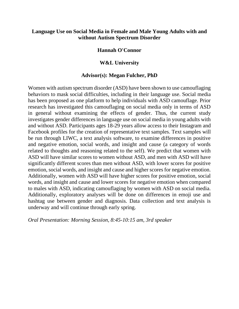# **Language Use on Social Media in Female and Male Young Adults with and without Autism Spectrum Disorder**

## **Hannah O'Connor**

## **W&L University**

## **Advisor(s): Megan Fulcher, PhD**

Women with autism spectrum disorder (ASD) have been shown to use camouflaging behaviors to mask social difficulties, including in their language use. Social media has been proposed as one platform to help individuals with ASD camouflage. Prior research has investigated this camouflaging on social media only in terms of ASD in general without examining the effects of gender. Thus, the current study investigates gender differences in language use on social media in young adults with and without ASD. Participants ages 18-29 years allow access to their Instagram and Facebook profiles for the creation of representative text samples. Text samples will be run through LIWC, a text analysis software, to examine differences in positive and negative emotion, social words, and insight and cause (a category of words related to thoughts and reasoning related to the self). We predict that women with ASD will have similar scores to women without ASD, and men with ASD will have significantly different scores than men without ASD, with lower scores for positive emotion, social words, and insight and cause and higher scores for negative emotion. Additionally, women with ASD will have higher scores for positive emotion, social words, and insight and cause and lower scores for negative emotion when compared to males with ASD, indicating camouflaging by women with ASD on social media. Additionally, exploratory analyses will be done on differences in emoji use and hashtag use between gender and diagnosis. Data collection and text analysis is underway and will continue through early spring.

*Oral Presentation: Morning Session, 8:45-10:15 am, 3rd speaker*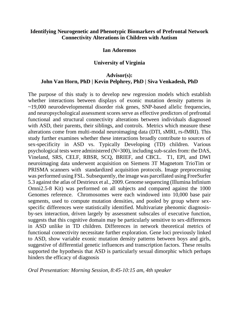# **Identifying Neurogenetic and Phenotypic Biomarkers of Prefrontal Network Connectivity Alterations in Children with Autism**

### **Ian Adoremos**

## **University of Virginia**

# **Advisor(s): John Van Horn, PhD | Kevin Pelphrey, PhD | Siva Venkadesh, PhD**

The purpose of this study is to develop new regression models which establish whether interactions between displays of exonic mutation density patterns in ~19,000 neurodevelopmental disorder risk genes, SNP-based allelic frequencies, and neuropsychological assessment scores serve as effective predictors of prefrontal functional and structural connectivity alterations between individuals diagnosed with ASD, their parents, their siblings, and controls. Metrics which measure these alterations come from multi-modal neuroimaging data (DTI, sMRI, rs-fMRI). This study further examines whether these interactions broadly contribute to sources of sex-specificity in ASD vs. Typically Developing (TD) children. Various psychological tests were administered (N=300), including sub-scales from: the DAS, Vineland, SRS, CELF, RBSR, SCQ, BRIEF, and CBCL. T1, EPI, and DWI neuroimaging data underwent acquisition on Siemens 3T Magnetom TrioTim or PRISMA scanners with standardized acquisition protocols. Image preprocessing was performed using FSL. Subsequently, the image was parcellated using FreeSurfer 5.3 against the atlas of Destrieux et al., 2009. Genome sequencing (Illumina Infinium Omni2.5-8 Kit) was performed on all subjects and compared against the 1000 Genomes reference. Chromosomes were each windowed into 10,000 base pair segments, used to compute mutation densities, and pooled by group where sexspecific differences were statistically identified. Multivariate phenomic diagnosisby-sex interaction, driven largely by assessment subscales of executive function, suggests that this cognitive domain may be particularly sensitive to sex-differences in ASD unlike in TD children. Differences in network theoretical metrics of functional connectivity necessitate further exploration. Gene loci previously linked to ASD, show variable exonic mutation density patterns between boys and girls, suggestive of differential genetic influences and transcription factors. These results supported the hypothesis that ASD is particularly sexual dimorphic which perhaps hinders the efficacy of diagnosis

### *Oral Presentation: Morning Session, 8:45-10:15 am, 4th speaker*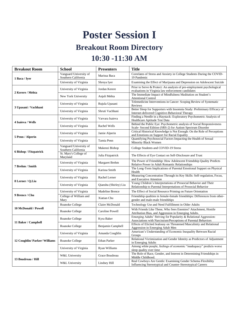# **Poster Session I**

# **Breakout Room Directory**

# **10:30 -11:30 AM**

| <b>Breakout Room</b>          | <b>School</b>                                 | <b>Presenters</b>     | <b>Title</b>                                                                                                                        |
|-------------------------------|-----------------------------------------------|-----------------------|-------------------------------------------------------------------------------------------------------------------------------------|
| 1 Baca / Iyer                 | Vanguard University of<br>Southern California | Marissa Baca          | Correlates of Stress and Anxiety in College Students During the COVID-<br>19 Pandemic                                               |
|                               | University of Virginia                        | Shreya Iyer           | Examining the Effect of Marijuana and Depression on Adolescent Suicide                                                              |
| 2 Kerere / Mehta              | University of Virginia                        | Jordan Kerere         | Prior to Serve & Protect: An analysis of pre-employment psychological<br>evaluations in Virginia law enforcement candidates         |
|                               | New York University                           | Anjali Mehta          | The Immediate Impact of Mindfulness Meditation on Student's<br><b>Attentional Control</b>                                           |
| 3 Upasani / Vachhani          | University of Virginia                        | Rujula Upasani        | Telemedicine Interventions in Cancer: Scoping Review of Systematic<br>Reviews                                                       |
|                               | University of Virginia                        | Shruti Vachhani       | Better Sleep for Supporters with Insomnia Study: Preliminary Efficacy of<br>Internet-delivered Cognitive-Behavioral Therapy         |
| 4 Isaieva / Wells             | University of Virginia                        | Varvara Isaieva       | Finding a Needle in a Haystack: Exploratory Psychometric Analysis of<br>Healthcare Aptitude Test Data                               |
|                               | University of Virginia                        | Rachel Wells          | Behind the Public Eye: Psychometric analysis of Social Responsiveness<br>Scale- Second Edition (SRS-2) for Autism Spectrum Disorder |
| 5 Penn / Alperin              | University of Virginia                        | Jamie Alperin         | Critical Historical Knowledge is Not Enough: On the Role of Perceptions<br>and Emotions on Support for Racial Equality              |
|                               | University of Virginia                        | Tamia Penn            | Quantifying Psychosocial Factors Impacting the Health of Sexual<br>Minority Black Women                                             |
| 6 Bishop / Fitzpatrick        | Vanguard University of<br>Southern California | Makenzi Bishop        | College Students and COVID-19 Stress                                                                                                |
|                               | St. Mary's College of<br>Maryland             | Julia Fitzpatrick     | The Effects of Eye Contact on Self-Disclosure and Trust                                                                             |
| 7 Brehm / Smith               | University of Virginia                        | Margaret Brehm        | The Power of Friendship: How Adolescent Friendship Quality Predicts<br>Relative Power in Adult Romantic Relationships               |
|                               | University of Virginia                        | Karissa Smith         | The Long-Term Implications of Parental Emotional Support on Physical<br>Health                                                      |
| 8 Lerner / Q.Liu              | University of Virginia                        | Rachel Lerner         | Measuring Concentration Through its Key Skills: Self-regulation, Focus,<br>and Executive Attention                                  |
|                               | University of Virginia                        | Qianshu (Shirley) Liu | Young Children's Interpretations of Prosocial Behavior and Their<br>Relationship to Parental Interpretations of Prosocial Behavior  |
| 9 Brence / Chu                | University of Virginia                        | Madeline Brence       | The Effect of Social Resource Priming on Future Orientation                                                                         |
|                               | College of William and<br>Mary                | Xiatian Chu           | Friendship qualities in female-female friendships: Differences from other-<br>gender and male-male friendships                      |
| <b>10 McDonald / Powell</b>   | Roanoke College                               | Claire McDonald       | Technology Use and Need Fulfillment in Older Adults                                                                                 |
|                               | Roanoke College                               | Caroline Powell       | With Friends Like These, Who Sees Enemies? Attachment, Hostile<br>Attribution Bias, and Aggression in Emerging Adults.              |
| 11 Baker / Campbell           | Roanoke College                               | Kyra Baker            | Emerging Adults' Striving for Popularity & Relational Aggression:<br>Associations with Narcissism/Perceptions of Parental Behaviors |
|                               | Roanoke College                               | Benjamin Campbell     | Effects of Elicited Jealousy on Threatened Masculinity and Relational<br>Aggression in Emerging Adult Men                           |
| 12 Coughlin/ Parker/ Williams | University of Virginia                        | Amanda Coughlin       | American's Understanding of Economic Inequality Between Racial<br>Groups                                                            |
|                               | Roanoke College                               | <b>Ethan Parker</b>   | Relational Victimization and Gender Identity as Predictors of Adjustment<br>in Emerging Adults                                      |
|                               | University of Virginia                        | Ryan Williams         | Among white people, feelings of economic "inadequacy" predicts worse<br>sleep quality over time                                     |
| 13 Boudreau / Hill            | W&L University                                | Grace Boudreau        | The Role of Race, Gender, and Interest in Determining Friendships in<br>Middle Childhood.                                           |
|                               | W&L University                                | Lindsey Hill          | Real Cowboys Are Gentle: Examining Gender Schema Flexibility<br>Influencing Stereotypical and Counter-Stereotypical Careers         |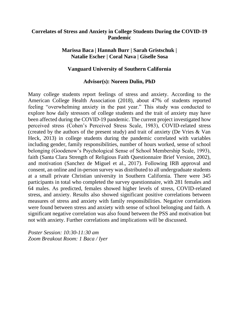# **Correlates of Stress and Anxiety in College Students During the COVID-19 Pandemic**

# **Marissa Baca | Hannah Burr | Sarah Gristschuk | Natalie Escher | Coral Nava | Giselle Sosa**

# **Vanguard University of Southern California**

# **Advisor(s): Noreen Dulin, PhD**

Many college students report feelings of stress and anxiety. According to the American College Health Association (2018), about 47% of students reported feeling "overwhelming anxiety in the past year." This study was conducted to explore how daily stressors of college students and the trait of anxiety may have been affected during the COVID-19 pandemic. The current project investigated how perceived stress (Cohen's Perceived Stress Scale, 1983), COVID-related stress (created by the authors of the present study) and trait of anxiety (De Vries & Van Heck, 2013) in college students during the pandemic correlated with variables including gender, family responsibilities, number of hours worked, sense of school belonging (Goodenow's Psychological Sense of School Membership Scale, 1993), faith (Santa Clara Strength of Religious Faith Questionnaire Brief Version, 2002), and motivation (Sanchez de Miguel et al., 2017). Following IRB approval and consent, an online and in-person survey was distributed to all undergraduate students at a small private Christian university in Southern California. There were 345 participants in total who completed the survey questionnaire, with 281 females and 64 males. As predicted, females showed higher levels of stress, COVID-related stress, and anxiety. Results also showed significant positive correlations between measures of stress and anxiety with family responsibilities. Negative correlations were found between stress and anxiety with sense of school belonging and faith. A significant negative correlation was also found between the PSS and motivation but not with anxiety. Further correlations and implications will be discussed.

*Poster Session: 10:30-11:30 am Zoom Breakout Room: 1 Baca / Iyer*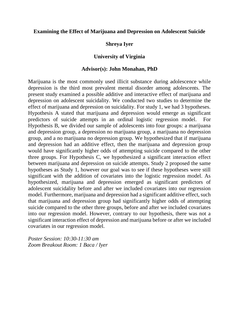## **Examining the Effect of Marijuana and Depression on Adolescent Suicide**

## **Shreya Iyer**

## **University of Virginia**

## **Advisor(s): John Monahan, PhD**

Marijuana is the most commonly used illicit substance during adolescence while depression is the third most prevalent mental disorder among adolescents. The present study examined a possible additive and interactive effect of marijuana and depression on adolescent suicidality. We conducted two studies to determine the effect of marijuana and depression on suicidality. For study 1, we had 3 hypotheses. Hypothesis A stated that marijuana and depression would emerge as significant predictors of suicide attempts in an ordinal logistic regression model. For Hypothesis B, we divided our sample of adolescents into four groups: a marijuana and depression group, a depression no marijuana group, a marijuana no depression group, and a no marijuana no depression group. We hypothesized that if marijuana and depression had an additive effect, then the marijuana and depression group would have significantly higher odds of attempting suicide compared to the other three groups. For Hypothesis C, we hypothesized a significant interaction effect between marijuana and depression on suicide attempts. Study 2 proposed the same hypotheses as Study 1, however our goal was to see if these hypotheses were still significant with the addition of covariates into the logistic regression model. As hypothesized, marijuana and depression emerged as significant predictors of adolescent suicidality before and after we included covariates into our regression model. Furthermore, marijuana and depression had a significant additive effect, such that marijuana and depression group had significantly higher odds of attempting suicide compared to the other three groups, before and after we included covariates into our regression model. However, contrary to our hypothesis, there was not a significant interaction effect of depression and marijuana before or after we included covariates in our regression model.

*Poster Session: 10:30-11:30 am Zoom Breakout Room: 1 Baca / Iyer*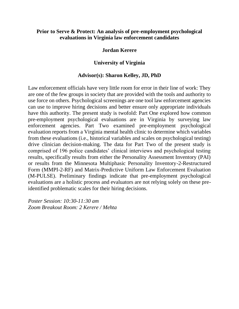# **Prior to Serve & Protect: An analysis of pre-employment psychological evaluations in Virginia law enforcement candidates**

# **Jordan Kerere**

# **University of Virginia**

## **Advisor(s): Sharon Kelley, JD, PhD**

Law enforcement officials have very little room for error in their line of work: They are one of the few groups in society that are provided with the tools and authority to use force on others. Psychological screenings are one tool law enforcement agencies can use to improve hiring decisions and better ensure only appropriate individuals have this authority. The present study is twofold: Part One explored how common pre-employment psychological evaluations are in Virginia by surveying law enforcement agencies. Part Two examined pre-employment psychological evaluation reports from a Virginia mental health clinic to determine which variables from these evaluations (i.e., historical variables and scales on psychological testing) drive clinician decision-making. The data for Part Two of the present study is comprised of 196 police candidates' clinical interviews and psychological testing results, specifically results from either the Personality Assessment Inventory (PAI) or results from the Minnesota Multiphasic Personality Inventory-2-Restructured Form (MMPI-2-RF) and Matrix-Predictive Uniform Law Enforcement Evaluation (M-PULSE). Preliminary findings indicate that pre-employment psychological evaluations are a holistic process and evaluators are not relying solely on these preidentified problematic scales for their hiring decisions.

*Poster Session: 10:30-11:30 am Zoom Breakout Room: 2 Kerere / Mehta*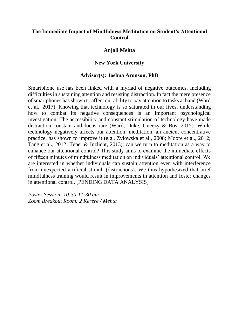# **The Immediate Impact of Mindfulness Meditation on Student's Attentional Control**

## **Anjali Mehta**

## **New York University**

## **Advisor(s): Joshua Aronson, PhD**

Smartphone use has been linked with a myriad of negative outcomes, including difficulties in sustaining attention and resisting distraction. In fact the mere presence of smartphones has shown to affect our ability to pay attention to tasks at hand (Ward et al., 2017). Knowing that technology is so saturated in our lives, understanding how to combat its negative consequences is an important psychological investigation. The accessibility and constant stimulation of technology have made distraction constant and focus rare (Ward, Duke, Gneezy & Bos, 2017). While technology negatively affects our attention, meditation, an ancient concentrative practice, has shown to improve it (e.g., Zylowska et al., 2008; Moore et al., 2012; Tang et al., 2012; Teper & Inzlicht, 2013); can we turn to meditation as a way to enhance our attentional control? This study aims to examine the immediate effects of fifteen minutes of mindfulness meditation on individuals' attentional control. We are interested in whether individuals can sustain attention even with interference from unexpected artificial stimuli (distractions). We thus hypothesized that brief mindfulness training would result in improvements in attention and foster changes in attentional control. [PENDING DATA ANALYSIS]

*Poster Session: 10:30-11:30 am Zoom Breakout Room: 2 Kerere / Mehta*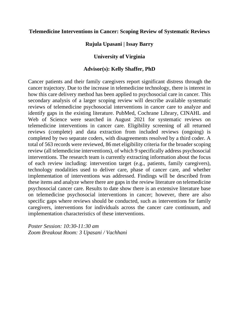## **Telemedicine Interventions in Cancer: Scoping Review of Systematic Reviews**

**Rujula Upasani | Issay Barry** 

## **University of Virginia**

## **Advisor(s): Kelly Shaffer, PhD**

Cancer patients and their family caregivers report significant distress through the cancer trajectory. Due to the increase in telemedicine technology, there is interest in how this care delivery method has been applied to psychosocial care in cancer. This secondary analysis of a larger scoping review will describe available systematic reviews of telemedicine psychosocial interventions in cancer care to analyze and identify gaps in the existing literature. PubMed, Cochrane Library, CINAHL and Web of Science were searched in August 2021 for systematic reviews on telemedicine interventions in cancer care. Eligibility screening of all returned reviews (complete) and data extraction from included reviews (ongoing) is completed by two separate coders, with disagreements resolved by a third coder. A total of 563 records were reviewed, 86 met eligibility criteria for the broader scoping review (all telemedicine interventions), of which 9 specifically address psychosocial interventions. The research team is currently extracting information about the focus of each review including: intervention target (e.g., patients, family caregivers), technology modalities used to deliver care, phase of cancer care, and whether implementation of interventions was addressed. Findings will be described from these items and analyze where there are gaps in the review literature on telemedicine psychosocial cancer care. Results to date show there is an extensive literature base on telemedicine psychosocial interventions in cancer; however, there are also specific gaps where reviews should be conducted, such as interventions for family caregivers, interventions for individuals across the cancer care continuum, and implementation characteristics of these interventions.

*Poster Session: 10:30-11:30 am Zoom Breakout Room: 3 Upasani / Vachhani*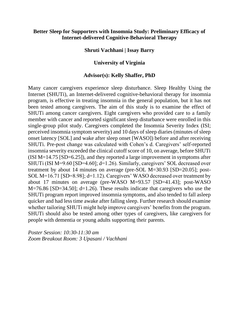# **Better Sleep for Supporters with Insomnia Study: Preliminary Efficacy of Internet-delivered Cognitive-Behavioral Therapy**

## **Shruti Vachhani | Issay Barry**

## **University of Virginia**

## **Advisor(s): Kelly Shaffer, PhD**

Many cancer caregivers experience sleep disturbance. Sleep Healthy Using the Internet (SHUTi), an Internet-delivered cognitive-behavioral therapy for insomnia program, is effective in treating insomnia in the general population, but it has not been tested among caregivers. The aim of this study is to examine the effect of SHUTi among cancer caregivers. Eight caregivers who provided care to a family member with cancer and reported significant sleep disturbance were enrolled in this single-group pilot study. Caregivers completed the Insomnia Severity Index (ISI; perceived insomnia symptom severity) and 10 days of sleep diaries (minutes of sleep onset latency [SOL] and wake after sleep onset [WASO]) before and after receiving SHUTi. Pre-post change was calculated with Cohen's d. Caregivers' self-reported insomnia severity exceeded the clinical cutoff score of 10, on average, before SHUTi (ISI M=14.75 [SD=6.25]), and they reported a large improvement in symptoms after SHUTi (ISI M=9.60 [SD=4.60]; d=1.26). Similarly, caregivers' SOL decreased over treatment by about 14 minutes on average (pre-SOL M=30.93 [SD=20.05]; post-SOL M=16.71 [SD=8.98]; d=1.12). Caregivers' WASO decreased over treatment by about 17 minutes on average (pre-WASO M=93.57 [SD=41.43]; post-WASO M=76.86 [SD=34.50]; d=1.26). These results indicate that caregivers who use the SHUTi program report improved insomnia symptoms, and also tended to fall asleep quicker and had less time awake after falling sleep. Further research should examine whether tailoring SHUTi might help improve caregivers' benefits from the program. SHUTi should also be tested among other types of caregivers, like caregivers for people with dementia or young adults supporting their parents.

*Poster Session: 10:30-11:30 am Zoom Breakout Room: 3 Upasani / Vachhani*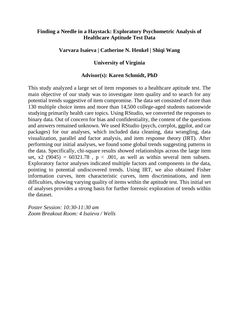# **Finding a Needle in a Haystack: Exploratory Psychometric Analysis of Healthcare Aptitude Test Data**

## **Varvara Isaieva | Catherine N. Henkel | Shiqi Wang**

## **University of Virginia**

## **Advisor(s): Karen Schmidt, PhD**

This study analyzed a large set of item responses to a healthcare aptitude test. The main objective of our study was to investigate item quality and to search for any potential trends suggestive of item compromise. The data set consisted of more than 130 multiple choice items and more than 14,500 college-aged students nationwide studying primarily health care topics. Using RStudio, we converted the responses to binary data. Out of concern for bias and confidentiality, the content of the questions and answers remained unknown. We used RStudio (psych, corrplot, ggplot, and car packages) for our analyses, which included data cleaning, data wrangling, data visualization, parallel and factor analysis, and item response theory (IRT). After performing our initial analyses, we found some global trends suggesting patterns in the data. Specifically, chi-square results showed relationships across the large item set, x2 (9045) =  $60321.78$ , p < .001, as well as within several item subsets. Exploratory factor analyses indicated multiple factors and components in the data, pointing to potential undiscovered trends. Using IRT, we also obtained Fisher information curves, item characteristic curves, item discriminations, and item difficulties, showing varying quality of items within the aptitude test. This initial set of analyses provides a strong basis for further forensic exploration of trends within the dataset.

*Poster Session: 10:30-11:30 am Zoom Breakout Room: 4 Isaieva / Wells*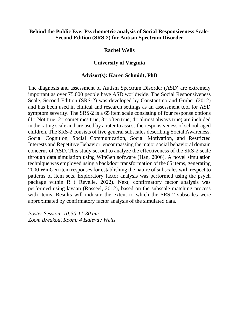## **Behind the Public Eye: Psychometric analysis of Social Responsiveness Scale-Second Edition (SRS-2) for Autism Spectrum Disorder**

## **Rachel Wells**

# **University of Virginia**

## **Advisor(s): Karen Schmidt, PhD**

The diagnosis and assessment of Autism Spectrum Disorder (ASD) are extremely important as over 75,000 people have ASD worldwide. The Social Responsiveness Scale, Second Edition (SRS-2) was developed by Constantino and Gruber (2012) and has been used in clinical and research settings as an assessment tool for ASD symptom severity. The SRS-2 is a 65 item scale consisting of four response options  $(1=$  Not true;  $2=$  sometimes true;  $3=$  often true;  $4=$  almost always true) are included in the rating scale and are used by a rater to assess the responsiveness of school-aged children. The SRS-2 consists of five general subscales describing Social Awareness, Social Cognition, Social Communication, Social Motivation, and Restricted Interests and Repetitive Behavior, encompassing the major social behavioral domain concerns of ASD. This study set out to analyze the effectiveness of the SRS-2 scale through data simulation using WinGen software (Han, 2006). A novel simulation technique was employed using a backdoor transformation of the 65 items, generating 2000 WinGen item responses for establishing the nature of subscales with respect to patterns of item sets. Exploratory factor analysis was performed using the psych package within R ( Revelle, 2022). Next, confirmatory factor analysis was performed using lavaan (Rosseel, 2012), based on the subscale matching process with items. Results will indicate the extent to which the SRS-2 subscales were approximated by confirmatory factor analysis of the simulated data.

*Poster Session: 10:30-11:30 am Zoom Breakout Room: 4 Isaieva / Wells*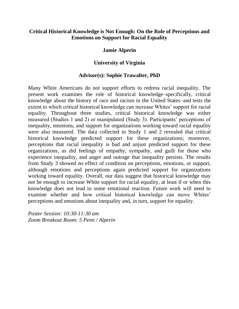# **Critical Historical Knowledge is Not Enough: On the Role of Perceptions and Emotions on Support for Racial Equality**

## **Jamie Alperin**

# **University of Virginia**

## **Advisor(s): Sophie Trawalter, PhD**

Many White Americans do not support efforts to redress racial inequality. The present work examines the role of historical knowledge–specifically, critical knowledge about the history of race and racism in the United States–and tests the extent to which critical historical knowledge can increase Whites' support for racial equality. Throughout three studies, critical historical knowledge was either measured (Studies 1 and 2) or manipulated (Study 3). Participants' perceptions of inequality, emotions, and support for organizations working toward racial equality were also measured. The data collected in Study 1 and 2 revealed that critical historical knowledge predicted support for these organizations; moreover, perceptions that racial inequality is bad and unjust predicted support for these organizations, as did feelings of empathy, sympathy, and guilt for those who experience inequality, and anger and outrage that inequality persists. The results from Study 3 showed no effect of condition on perceptions, emotions, or support, although emotions and perceptions again predicted support for organizations working toward equality. Overall, our data suggest that historical knowledge may not be enough to increase White support for racial equality, at least if or when this knowledge does not lead to some emotional reaction. Future work will need to examine whether and how critical historical knowledge can move Whites' perceptions and emotions about inequality and, in turn, support for equality.

*Poster Session: 10:30-11:30 am Zoom Breakout Room: 5 Penn / Alperin*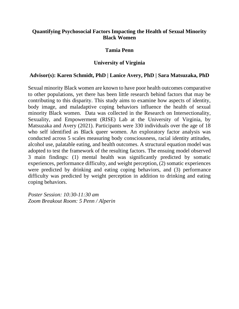# **Quantifying Psychosocial Factors Impacting the Health of Sexual Minority Black Women**

## **Tamia Penn**

# **University of Virginia**

# **Advisor(s): Karen Schmidt, PhD | Lanice Avery, PhD | Sara Matsuzaka, PhD**

Sexual minority Black women are known to have poor health outcomes comparative to other populations, yet there has been little research behind factors that may be contributing to this disparity. This study aims to examine how aspects of identity, body image, and maladaptive coping behaviors influence the health of sexual minority Black women. Data was collected in the Research on Intersectionality, Sexuality, and Empowerment (RISE) Lab at the University of Virginia, by Matsuzaka and Avery (2021). Participants were 330 individuals over the age of 18 who self identified as Black queer women. An exploratory factor analysis was conducted across 5 scales measuring body consciousness, racial identity attitudes, alcohol use, palatable eating, and health outcomes. A structural equation model was adopted to test the framework of the resulting factors. The ensuing model observed 3 main findings: (1) mental health was significantly predicted by somatic experiences, performance difficulty, and weight perception, (2) somatic experiences were predicted by drinking and eating coping behaviors, and (3) performance difficulty was predicted by weight perception in addition to drinking and eating coping behaviors.

*Poster Session: 10:30-11:30 am Zoom Breakout Room: 5 Penn / Alperin*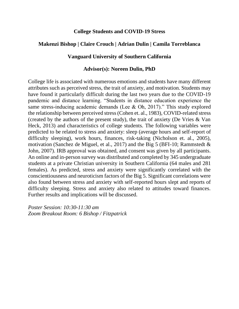## **College Students and COVID-19 Stress**

# **Makenzi Bishop | Claire Crouch | Adrian Dulin | Camila Torreblanca**

# **Vanguard University of Southern California**

## **Advisor(s): Noreen Dulin, PhD**

College life is associated with numerous emotions and students have many different attributes such as perceived stress, the trait of anxiety, and motivation. Students may have found it particularly difficult during the last two years due to the COVID-19 pandemic and distance learning. "Students in distance education experience the same stress-inducing academic demands (Lee & Oh, 2017)." This study explored the relationship between perceived stress (Cohen et. al., 1983), COVID-related stress (created by the authors of the present study), the trait of anxiety (De Vries & Van Heck, 2013) and characteristics of college students. The following variables were predicted to be related to stress and anxiety: sleep (average hours and self-report of difficulty sleeping), work hours, finances, risk-taking (Nicholson et. al., 2005), motivation (Sanchez de Miguel, et al., 2017) and the Big 5 (BFI-10; Rammstedt  $\&$ John, 2007). IRB approval was obtained, and consent was given by all participants. An online and in-person survey was distributed and completed by 345 undergraduate students at a private Christian university in Southern California (64 males and 281 females). As predicted, stress and anxiety were significantly correlated with the conscientiousness and neuroticism factors of the Big 5. Significant correlations were also found between stress and anxiety with self-reported hours slept and reports of difficulty sleeping. Stress and anxiety also related to attitudes toward finances. Further results and implications will be discussed.

*Poster Session: 10:30-11:30 am Zoom Breakout Room: 6 Bishop / Fitzpatrick*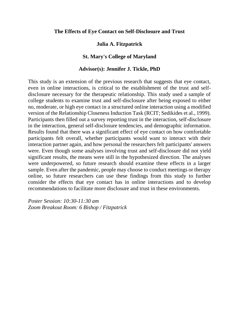## **The Effects of Eye Contact on Self-Disclosure and Trust**

# **Julia A. Fitzpatrick**

# **St. Mary's College of Maryland**

## **Advisor(s): Jennifer J. Tickle, PhD**

This study is an extension of the previous research that suggests that eye contact, even in online interactions, is critical to the establishment of the trust and selfdisclosure necessary for the therapeutic relationship. This study used a sample of college students to examine trust and self-disclosure after being exposed to either no, moderate, or high eye contact in a structured online interaction using a modified version of the Relationship Closeness Induction Task (RCIT; Sedikides et al., 1999). Participants then filled out a survey reporting trust in the interaction, self-disclosure in the interaction, general self-disclosure tendencies, and demographic information. Results found that there was a significant effect of eye contact on how comfortable participants felt overall, whether participants would want to interact with their interaction partner again, and how personal the researchers felt participants' answers were. Even though some analyses involving trust and self-disclosure did not yield significant results, the means were still in the hypothesized direction. The analyses were underpowered, so future research should examine these effects in a larger sample. Even after the pandemic, people may choose to conduct meetings or therapy online, so future researchers can use these findings from this study to further consider the effects that eye contact has in online interactions and to develop recommendations to facilitate more disclosure and trust in these environments.

*Poster Session: 10:30-11:30 am Zoom Breakout Room: 6 Bishop / Fitzpatrick*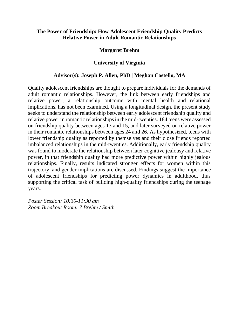# **The Power of Friendship: How Adolescent Friendship Quality Predicts Relative Power in Adult Romantic Relationships**

## **Margaret Brehm**

# **University of Virginia**

# **Advisor(s): Joseph P. Allen, PhD | Meghan Costello, MA**

Quality adolescent friendships are thought to prepare individuals for the demands of adult romantic relationships. However, the link between early friendships and relative power, a relationship outcome with mental health and relational implications, has not been examined. Using a longitudinal design, the present study seeks to understand the relationship between early adolescent friendship quality and relative power in romantic relationships in the mid-twenties. 184 teens were assessed on friendship quality between ages 13 and 15, and later surveyed on relative power in their romantic relationships between ages 24 and 26. As hypothesized, teens with lower friendship quality as reported by themselves and their close friends reported imbalanced relationships in the mid-twenties. Additionally, early friendship quality was found to moderate the relationship between later cognitive jealousy and relative power, in that friendship quality had more predictive power within highly jealous relationships. Finally, results indicated stronger effects for women within this trajectory, and gender implications are discussed. Findings suggest the importance of adolescent friendships for predicting power dynamics in adulthood, thus supporting the critical task of building high-quality friendships during the teenage years.

*Poster Session: 10:30-11:30 am Zoom Breakout Room: 7 Brehm / Smith*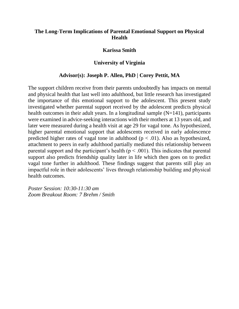# **The Long-Term Implications of Parental Emotional Support on Physical Health**

## **Karissa Smith**

## **University of Virginia**

### **Advisor(s): Joseph P. Allen, PhD | Corey Pettit, MA**

The support children receive from their parents undoubtedly has impacts on mental and physical health that last well into adulthood, but little research has investigated the importance of this emotional support to the adolescent. This present study investigated whether parental support received by the adolescent predicts physical health outcomes in their adult years. In a longitudinal sample  $(N=141)$ , participants were examined in advice-seeking interactions with their mothers at 13 years old, and later were measured during a health visit at age 29 for vagal tone. As hypothesized, higher parental emotional support that adolescents received in early adolescence predicted higher rates of vagal tone in adulthood ( $p < .01$ ). Also as hypothesized, attachment to peers in early adulthood partially mediated this relationship between parental support and the participant's health ( $p < .001$ ). This indicates that parental support also predicts friendship quality later in life which then goes on to predict vagal tone further in adulthood. These findings suggest that parents still play an impactful role in their adolescents' lives through relationship building and physical health outcomes.

*Poster Session: 10:30-11:30 am Zoom Breakout Room: 7 Brehm / Smith*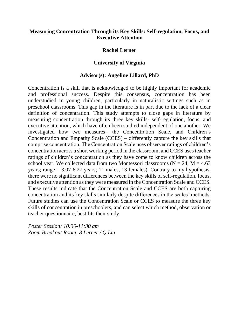# **Measuring Concentration Through its Key Skills: Self-regulation, Focus, and Executive Attention**

## **Rachel Lerner**

## **University of Virginia**

## **Advisor(s): Angeline Lillard, PhD**

Concentration is a skill that is acknowledged to be highly important for academic and professional success. Despite this consensus, concentration has been understudied in young children, particularly in naturalistic settings such as in preschool classrooms. This gap in the literature is in part due to the lack of a clear definition of concentration. This study attempts to close gaps in literature by measuring concentration through its three key skills- self-regulation, focus, and executive attention, which have often been studied independent of one another. We investigated how two measures– the Concentration Scale, and Children's Concentration and Empathy Scale (CCES) – differently capture the key skills that comprise concentration. The Concentration Scale uses observer ratings of children's concentration across a short working period in the classroom, and CCES uses teacher ratings of children's concentration as they have come to know children across the school year. We collected data from two Montessori classrooms ( $N = 24$ ;  $M = 4.63$ ) years; range  $= 3.07 - 6.27$  years; 11 males, 13 females). Contrary to my hypothesis, there were no significant differences between the key skills of self-regulation, focus, and executive attention as they were measured in the Concentration Scale and CCES. These results indicate that the Concentration Scale and CCES are both capturing concentration and its key skills similarly despite differences in the scales' methods. Future studies can use the Concentration Scale or CCES to measure the three key skills of concentration in preschoolers, and can select which method, observation or teacher questionnaire, best fits their study.

*Poster Session: 10:30-11:30 am Zoom Breakout Room: 8 Lerner / Q.Liu*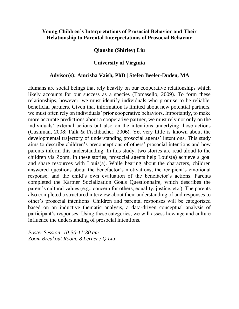# **Young Children's Interpretations of Prosocial Behavior and Their Relationship to Parental Interpretations of Prosocial Behavior**

## **Qianshu (Shirley) Liu**

## **University of Virginia**

## **Advisor(s): Amrisha Vaish, PhD | Stefen Beeler-Duden, MA**

Humans are social beings that rely heavily on our cooperative relationships which likely accounts for our success as a species (Tomasello, 2009). To form these relationships, however, we must identify individuals who promise to be reliable, beneficial partners. Given that information is limited about new potential partners, we must often rely on individuals' prior cooperative behaviors. Importantly, to make more accurate predictions about a cooperative partner, we must rely not only on the individuals' external actions but also on the intentions underlying those actions (Cushman, 2008; Falk & Fischbacher, 2006). Yet very little is known about the developmental trajectory of understanding prosocial agents' intentions. This study aims to describe children's preconceptions of others' prosocial intentions and how parents inform this understanding. In this study, two stories are read aloud to the children via Zoom. In these stories, prosocial agents help Louis(a) achieve a goal and share resources with Louis(a). While hearing about the characters, children answered questions about the benefactor's motivations, the recipient's emotional response, and the child's own evaluation of the benefactor's actions. Parents completed the Kärtner Socialization Goals Questionnaire, which describes the parent's cultural values (e.g., concern for others, equality, justice, etc.). The parents also completed a structured interview about their understanding of and responses to other's prosocial intentions. Children and parental responses will be categorized based on an inductive thematic analysis, a data-driven conceptual analysis of participant's responses. Using these categories, we will assess how age and culture influence the understanding of prosocial intentions.

*Poster Session: 10:30-11:30 am Zoom Breakout Room: 8 Lerner / Q.Liu*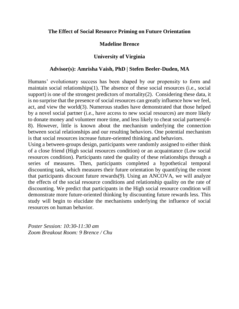## **The Effect of Social Resource Priming on Future Orientation**

## **Madeline Brence**

## **University of Virginia**

### **Advisor(s): Amrisha Vaish, PhD | Stefen Beeler-Duden, MA**

Humans' evolutionary success has been shaped by our propensity to form and maintain social relationships(1). The absence of these social resources (i.e., social support) is one of the strongest predictors of mortality $(2)$ . Considering these data, it is no surprise that the presence of social resources can greatly influence how we feel, act, and view the world(3). Numerous studies have demonstrated that those helped by a novel social partner (i.e., have access to new social resources) are more likely to donate money and volunteer more time, and less likely to cheat social partners(4- 8). However, little is known about the mechanism underlying the connection between social relationships and our resulting behaviors. One potential mechanism is that social resources increase future-oriented thinking and behaviors.

Using a between-groups design, participants were randomly assigned to either think of a close friend (High social resources condition) or an acquaintance (Low social resources condition). Participants rated the quality of these relationships through a series of measures. Then, participants completed a hypothetical temporal discounting task, which measures their future orientation by quantifying the extent that participants discount future rewards(9). Using an ANCOVA, we will analyze the effects of the social resource conditions and relationship quality on the rate of discounting. We predict that participants in the High social resource condition will demonstrate more future-oriented thinking by discounting future rewards less. This study will begin to elucidate the mechanisms underlying the influence of social resources on human behavior.

*Poster Session: 10:30-11:30 am Zoom Breakout Room: 9 Brence / Chu*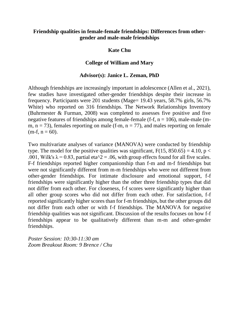# **Friendship qualities in female-female friendships: Differences from othergender and male-male friendships**

# **Kate Chu**

# **College of William and Mary**

## **Advisor(s): Janice L. Zeman, PhD**

Although friendships are increasingly important in adolescence (Allen et al., 2021), few studies have investigated other-gender friendships despite their increase in frequency. Participants were 201 students (Mage= 19.43 years, 58.7% girls, 56.7% White) who reported on 316 friendships. The Network Relationships Inventory (Buhrmester & Furman, 2008) was completed to assesses five positive and five negative features of friendships among female-female (f-f,  $n = 106$ ), male-male (mm,  $n = 73$ ), females reporting on male (f-m,  $n = 77$ ), and males reporting on female  $(m-f, n = 60)$ .

Two multivariate analyses of variance (MANOVA) were conducted by friendship type. The model for the positive qualities was significant,  $F(15, 850.65) = 4.10$ ,  $p <$ .001, Wilk's  $\lambda = 0.83$ , partial eta<sup> $\lambda$ </sup> = .06, with group effects found for all five scales. F-f friendships reported higher companionship than f-m and m-f friendships but were not significantly different from m-m friendships who were not different from other-gender friendships. For intimate disclosure and emotional support, f-f friendships were significantly higher than the other three friendship types that did not differ from each other. For closeness, f-f scores were significantly higher than all other group scores who did not differ from each other. For satisfaction, f-f reported significantly higher scores than for f-m friendships, but the other groups did not differ from each other or with f-f friendships. The MANOVA for negative friendship qualities was not significant. Discussion of the results focuses on how f-f friendships appear to be qualitatively different than m-m and other-gender friendships.

*Poster Session: 10:30-11:30 am Zoom Breakout Room: 9 Brence / Chu*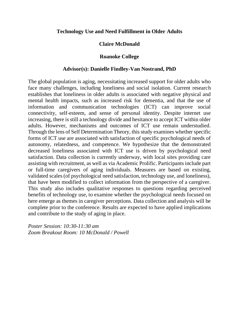## **Technology Use and Need Fulfillment in Older Adults**

# **Claire McDonald**

## **Roanoke College**

## **Advisor(s): Danielle Findley-Van Nostrand, PhD**

The global population is aging, necessitating increased support for older adults who face many challenges, including loneliness and social isolation. Current research establishes that loneliness in older adults is associated with negative physical and mental health impacts, such as increased risk for dementia, and that the use of information and communication technologies (ICT) can improve social connectivity, self-esteem, and sense of personal identity. Despite internet use increasing, there is still a technology divide and hesitance to accept ICT within older adults. However, mechanisms and outcomes of ICT use remain understudied. Through the lens of Self Determination Theory, this study examines whether specific forms of ICT use are associated with satisfaction of specific psychological needs of autonomy, relatedness, and competence. We hypothesize that the demonstrated decreased loneliness associated with ICT use is driven by psychological need satisfaction. Data collection is currently underway, with local sites providing care assisting with recruitment, as well as via Academic Prolific. Participants include part or full-time caregivers of aging individuals. Measures are based on existing, validated scales (of psychological need satisfaction, technology use, and loneliness), that have been modified to collect information from the perspective of a caregiver. This study also includes qualitative responses to questions regarding perceived benefits of technology use, to examine whether the psychological needs focused on here emerge as themes in caregiver perceptions. Data collection and analysis will be complete prior to the conference. Results are expected to have applied implications and contribute to the study of aging in place.

*Poster Session: 10:30-11:30 am Zoom Breakout Room: 10 McDonald / Powell*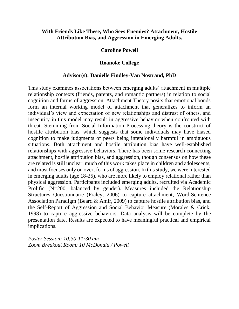# **With Friends Like These, Who Sees Enemies? Attachment, Hostile Attribution Bias, and Aggression in Emerging Adults.**

## **Caroline Powell**

## **Roanoke College**

## **Advisor(s): Danielle Findley-Van Nostrand, PhD**

This study examines associations between emerging adults' attachment in multiple relationship contexts (friends, parents, and romantic partners) in relation to social cognition and forms of aggression. Attachment Theory posits that emotional bonds form an internal working model of attachment that generalizes to inform an individual's view and expectation of new relationships and distrust of others, and insecurity in this model may result in aggressive behavior when confronted with threat. Stemming from Social Information Processing theory is the construct of hostile attribution bias, which suggests that some individuals may have biased cognition to make judgments of peers being intentionally harmful in ambiguous situations. Both attachment and hostile attribution bias have well-established relationships with aggressive behaviors. There has been some research connecting attachment, hostile attribution bias, and aggression, though consensus on how these are related is still unclear, much of this work takes place in children and adolescents, and most focuses only on overt forms of aggression. In this study, we were interested in emerging adults (age 18-25), who are more likely to employ relational rather than physical aggression. Participants included emerging adults, recruited via Academic Prolific (N=200, balanced by gender). Measures included the Relationship Structures Questionnaire (Fraley, 2006) to capture attachment, Word-Sentence Association Paradigm (Beard & Amir, 2009) to capture hostile attribution bias, and the Self-Report of Aggression and Social Behavior Measure (Morales & Crick, 1998) to capture aggressive behaviors. Data analysis will be complete by the presentation date. Results are expected to have meaningful practical and empirical implications.

*Poster Session: 10:30-11:30 am Zoom Breakout Room: 10 McDonald / Powell*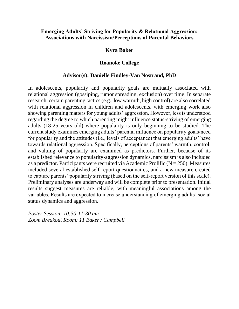## **Emerging Adults' Striving for Popularity & Relational Aggression: Associations with Narcissism/Perceptions of Parental Behaviors**

# **Kyra Baker**

# **Roanoke College**

# **Advisor(s): Danielle Findley-Van Nostrand, PhD**

In adolescents, popularity and popularity goals are mutually associated with relational aggression (gossiping, rumor spreading, exclusion) over time. In separate research, certain parenting tactics (e.g., low warmth, high control) are also correlated with relational aggression in children and adolescents, with emerging work also showing parenting matters for young adults' aggression. However, less is understood regarding the degree to which parenting might influence status-striving of emerging adults (18-25 years old) where popularity is only beginning to be studied. The current study examines emerging adults' parental influence on popularity goals/need for popularity and the attitudes (i.e., levels of acceptance) that emerging adults' have towards relational aggression. Specifically, perceptions of parents' warmth, control, and valuing of popularity are examined as predictors. Further, because of its established relevance to popularity-aggression dynamics, narcissism is also included as a predictor. Participants were recruited via Academic Prolific  $(N = 250)$ . Measures included several established self-report questionnaires, and a new measure created to capture parents' popularity striving (based on the self-report version of this scale). Preliminary analyses are underway and will be complete prior to presentation. Initial results suggest measures are reliable, with meaningful associations among the variables. Results are expected to increase understanding of emerging adults' social status dynamics and aggression.

*Poster Session: 10:30-11:30 am Zoom Breakout Room: 11 Baker / Campbell*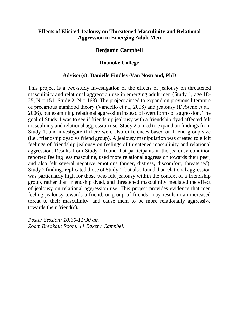# **Effects of Elicited Jealousy on Threatened Masculinity and Relational Aggression in Emerging Adult Men**

## **Benjamin Campbell**

# **Roanoke College**

## **Advisor(s): Danielle Findley-Van Nostrand, PhD**

This project is a two-study investigation of the effects of jealousy on threatened masculinity and relational aggression use in emerging adult men (Study 1, age 18- 25,  $N = 151$ ; Study 2,  $N = 163$ ). The project aimed to expand on previous literature of precarious manhood theory (Vandello et al., 2008) and jealousy (DeSteno et al., 2006), but examining relational aggression instead of overt forms of aggression. The goal of Study 1 was to see if friendship jealousy with a friendship dyad affected felt masculinity and relational aggression use. Study 2 aimed to expand on findings from Study 1, and investigate if there were also differences based on friend group size (i.e., friendship dyad vs friend group). A jealousy manipulation was created to elicit feelings of friendship jealousy on feelings of threatened masculinity and relational aggression. Results from Study 1 found that participants in the jealousy condition reported feeling less masculine, used more relational aggression towards their peer, and also felt several negative emotions (anger, distress, discomfort, threatened). Study 2 findings replicated those of Study 1, but also found that relational aggression was particularly high for those who felt jealousy within the context of a friendship group, rather than friendship dyad, and threatened masculinity mediated the effect of jealousy on relational aggression use. This project provides evidence that men feeling jealousy towards a friend, or group of friends, may result in an increased threat to their masculinity, and cause them to be more relationally aggressive towards their friend(s).

*Poster Session: 10:30-11:30 am Zoom Breakout Room: 11 Baker / Campbell*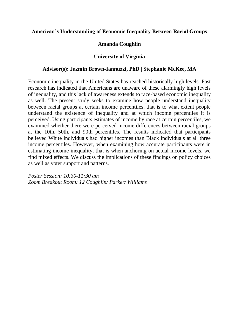## **American's Understanding of Economic Inequality Between Racial Groups**

# **Amanda Coughlin**

# **University of Virginia**

## **Advisor(s): Jazmin Brown-Iannuzzi, PhD | Stephanie McKee, MA**

Economic inequality in the United States has reached historically high levels. Past research has indicated that Americans are unaware of these alarmingly high levels of inequality, and this lack of awareness extends to race-based economic inequality as well. The present study seeks to examine how people understand inequality between racial groups at certain income percentiles, that is to what extent people understand the existence of inequality and at which income percentiles it is perceived. Using participants estimates of income by race at certain percentiles, we examined whether there were perceived income differences between racial groups at the 10th, 50th, and 90th percentiles. The results indicated that participants believed White individuals had higher incomes than Black individuals at all three income percentiles. However, when examining how accurate participants were in estimating income inequality, that is when anchoring on actual income levels, we find mixed effects. We discuss the implications of these findings on policy choices as well as voter support and patterns.

*Poster Session: 10:30-11:30 am Zoom Breakout Room: 12 Coughlin/ Parker/ Williams*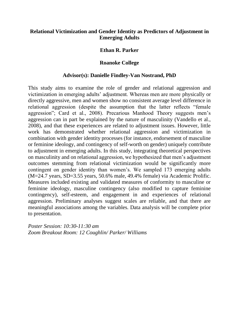# **Relational Victimization and Gender Identity as Predictors of Adjustment in Emerging Adults**

## **Ethan R. Parker**

## **Roanoke College**

## **Advisor(s): Danielle Findley-Van Nostrand, PhD**

This study aims to examine the role of gender and relational aggression and victimization in emerging adults' adjustment. Whereas men are more physically or directly aggressive, men and women show no consistent average level difference in relational aggression (despite the assumption that the latter reflects "female aggression"; Card et al., 2008). Precarious Manhood Theory suggests men's aggression can in part be explained by the nature of masculinity (Vandello et al., 2008), and that these experiences are related to adjustment issues. However, little work has demonstrated whether relational aggression and victimization in combination with gender identity processes (for instance, endorsement of masculine or feminine ideology, and contingency of self-worth on gender) uniquely contribute to adjustment in emerging adults. In this study, integrating theoretical perspectives on masculinity and on relational aggression, we hypothesized that men's adjustment outcomes stemming from relational victimization would be significantly more contingent on gender identity than women's. We sampled 173 emerging adults (M=24.7 years, SD=3.55 years, 50.6% male, 49.4% female) via Academic Prolific. Measures included existing and validated measures of conformity to masculine or feminine ideology, masculine contingency (also modified to capture feminine contingency), self-esteem, and engagement in and experiences of relational aggression. Preliminary analyses suggest scales are reliable, and that there are meaningful associations among the variables. Data analysis will be complete prior to presentation.

*Poster Session: 10:30-11:30 am Zoom Breakout Room: 12 Coughlin/ Parker/ Williams*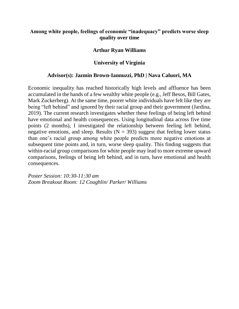# **Among white people, feelings of economic "inadequacy" predicts worse sleep quality over time**

## **Arthur Ryan Williams**

## **University of Virginia**

## **Advisor(s): Jazmin Brown-Iannuzzi, PhD | Nava Caluori, MA**

Economic inequality has reached historically high levels and affluence has been accumulated in the hands of a few wealthy white people (e.g., Jeff Besos, Bill Gates, Mark Zuckerberg). At the same time, poorer white individuals have felt like they are being "left behind" and ignored by their racial group and their government (Jardina, 2019). The current research investigates whether these feelings of being left behind have emotional and health consequences. Using longitudinal data across five time points (2 months), I investigated the relationship between feeling left behind, negative emotions, and sleep. Results ( $N = 393$ ) suggest that feeling lower status than one's racial group among white people predicts more negative emotions at subsequent time points and, in turn, worse sleep quality. This finding suggests that within-racial group comparisons for white people may lead to more extreme upward comparisons, feelings of being left behind, and in turn, have emotional and health consequences.

*Poster Session: 10:30-11:30 am Zoom Breakout Room: 12 Coughlin/ Parker/ Williams*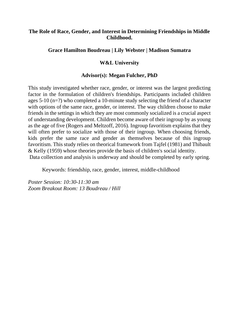# **The Role of Race, Gender, and Interest in Determining Friendships in Middle Childhood.**

# **Grace Hamilton Boudreau | Lily Webster | Madison Sumatra**

# **W&L University**

# **Advisor(s): Megan Fulcher, PhD**

This study investigated whether race, gender, or interest was the largest predicting factor in the formulation of children's friendships. Participants included children ages 5-10 (n=?) who completed a 10-minute study selecting the friend of a character with options of the same race, gender, or interest. The way children choose to make friends in the settings in which they are most commonly socialized is a crucial aspect of understanding development. Children become aware of their ingroup by as young as the age of five (Rogers and Meltzoff, 2016). Ingroup favoritism explains that they will often prefer to socialize with those of their ingroup. When choosing friends, kids prefer the same race and gender as themselves because of this ingroup favoritism. This study relies on theorical framework from Tajfel (1981) and Thibault & Kelly (1959) whose theories provide the basis of children's social identity. Data collection and analysis is underway and should be completed by early spring.

Keywords: friendship, race, gender, interest, middle-childhood

*Poster Session: 10:30-11:30 am Zoom Breakout Room: 13 Boudreau / Hill*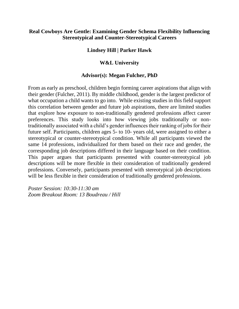# **Real Cowboys Are Gentle: Examining Gender Schema Flexibility Influencing Stereotypical and Counter-Stereotypical Careers**

## **Lindsey Hill | Parker Hawk**

## **W&L University**

## **Advisor(s): Megan Fulcher, PhD**

From as early as preschool, children begin forming career aspirations that align with their gender (Fulcher, 2011). By middle childhood, gender is the largest predictor of what occupation a child wants to go into. While existing studies in this field support this correlation between gender and future job aspirations, there are limited studies that explore how exposure to non-traditionally gendered professions affect career preferences. This study looks into how viewing jobs traditionally or nontraditionally associated with a child's gender influences their ranking of jobs for their future self. Participants, children ages 5- to 10- years old, were assigned to either a stereotypical or counter-stereotypical condition. While all participants viewed the same 14 professions, individualized for them based on their race and gender, the corresponding job descriptions differed in their language based on their condition. This paper argues that participants presented with counter-stereotypical job descriptions will be more flexible in their consideration of traditionally gendered professions. Conversely, participants presented with stereotypical job descriptions will be less flexible in their consideration of traditionally gendered professions.

*Poster Session: 10:30-11:30 am Zoom Breakout Room: 13 Boudreau / Hill*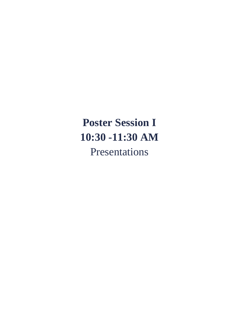# **Poster Session I 10:30 -11:30 AM** Presentations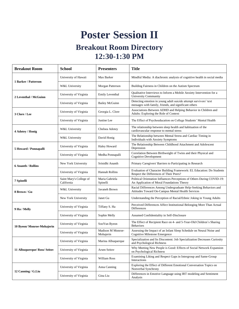# **Poster Session II**

# **Breakout Room Directory 12:30-1:30 PM**

| <b>Breakout Room</b>         | <b>School</b>                         | <b>Presenters</b>              | <b>Title</b>                                                                                                              |
|------------------------------|---------------------------------------|--------------------------------|---------------------------------------------------------------------------------------------------------------------------|
| 1 Barker / Patterson         | University of Hawaii                  | Max Barker                     | Mindful Media: A diachronic analysis of cognitive health in social media                                                  |
|                              | W&L University                        | Morgan Patterson               | Building Fairness in Children on the Autism Spectrum                                                                      |
| 2 Leventhal / McGuinn        | University of Virginia                | Emily Leventhal                | Qualitative Interviews to Inform a Mobile Anxiety Intervention for a<br><b>University Community</b>                       |
|                              | University of Virginia                | <b>Bailey McGuinn</b>          | Detecting emotion in young adult suicide attempt survivors' text<br>messages with family, friends, and significant others |
| 3 Clore / Lee                | University of Virginia                | Georgia L. Clore               | Associations Between ADHD and Helping Behavior in Children and<br>Adults: Exploring the Role of Context                   |
|                              | University of Virginia                | Justine Lee                    | The Effect of Psychoeducation on College Students' Mental Health                                                          |
| 4 Adotey / Honig             | W&L University                        | Chelsea Adotey                 | The relationship between sleep health and habituation of the<br>cardiovascular response to mental stress                  |
|                              | W&L University                        | David Honig                    | The Relationship between Mental Stress and Cardiac Timing in<br>Individuals with Anxiety Symptoms                         |
| 5 Howard / Ponnapalli        | University of Virginia                | Haley Howard                   | The Relationship Between Childhood Attachment and Adolescent<br>Depression                                                |
|                              | University of Virginia                | Medha Ponnapalli               | Correlation Between Birthweight of Twins and their Physical and<br><b>Cognitive Development</b>                           |
| <b>6 Ananth / Rollins</b>    | New York University                   | Srinidhi Ananth                | Primary Caregivers' Barriers to Participating in Research                                                                 |
|                              | University of Virginia                | Hannah Rollins                 | Evaluation of Character Building Framework: EL Education: Do Students<br>Respect the Differences of Their Peers?          |
| 7 Spinelli                   | Saint Mary's College of<br>California | Maria Gabriela<br>Spinelli     | Political Orientation Influences Perceptions of Others During COVID-19:<br>An Application of Moral Foundations Theory     |
| 8 Brown / Gu                 | W&L University                        | Javaneh Brown                  | Racial Differences Among Undergraduate Help-Seeking Behaviors and<br>Attitudes Toward On-Campus Mental Health Services    |
|                              | New York University                   | Janet Gu                       | Understanding the Perception of Racial/Ethnic Joking in Young Adults                                                      |
| 9 Ha / Melly                 | University of Virginia                | Tiffany S. Ha                  | Perceived Differences Affect Institutional Belonging More Than Actual<br><b>Differences</b>                               |
|                              | University of Virginia                | Sophie Melly                   | Assumed Confidentiality in Self-Disclosure                                                                                |
| 10 Byeon/ Monroe-Mohajerin   | University of Virginia                | SooYun Byeon                   | The Effect of Recipient Race on 4- and 5-Year-Old Children's Sharing<br><b>Behaviors</b>                                  |
|                              | University of Virginia                | Madison M Monroe-<br>Mohajerin | Assessing the Impact of an Infant Sleep Schedule on Neural Noise and<br>Cognitive Milestone Emergence                     |
| 11 Albuquerque/ Ross/ Seitov | University of Virginia                | Marina Albuquerque             | Specialization and Its Discontent: Job Specialization Decreases Curiosity<br>and Psychological Richness                   |
|                              | University of Virginia                | Arsen Seitov                   | Why Meeting New People is Good: Effects of Social Network Expansion<br>on Psychological Richness                          |
|                              | University of Virginia                | William Ross                   | Examining Liking and Respect Gaps in Intergroup and Same-Group<br>Interactions                                            |
| 12 Canning / G.Liu           | University of Virginia                | Anna Canning                   | Exploring the Effect of Different Emotional Conversation Topics on<br>Nonverbal Synchrony                                 |
|                              | University of Virginia                | Gina Liu                       | Differences in Emotive Language using IRT modeling and Sentiment<br>Analysis                                              |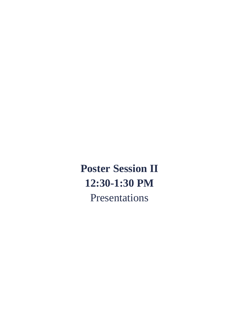**Poster Session II 12:30-1:30 PM** Presentations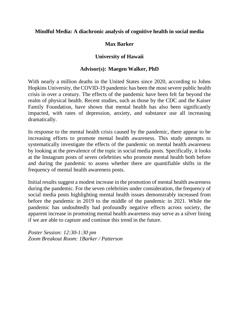# **Mindful Media: A diachronic analysis of cognitive health in social media**

# **Max Barker**

# **University of Hawaii**

# **Advisor(s): Maegen Walker, PhD**

With nearly a million deaths in the United States since 2020, according to Johns Hopkins University, the COVID-19 pandemic has been the most severe public health crisis in over a century. The effects of the pandemic have been felt far beyond the realm of physical health. Recent studies, such as those by the CDC and the Kaiser Family Foundation, have shown that mental health has also been significantly impacted, with rates of depression, anxiety, and substance use all increasing dramatically.

In response to the mental health crisis caused by the pandemic, there appear to be increasing efforts to promote mental health awareness. This study attempts to systematically investigate the effects of the pandemic on mental health awareness by looking at the prevalence of the topic in social media posts. Specifically, it looks at the Instagram posts of seven celebrities who promote mental health both before and during the pandemic to assess whether there are quantifiable shifts in the frequency of mental health awareness posts.

Initial results suggest a modest increase in the promotion of mental health awareness during the pandemic. For the seven celebrities under consideration, the frequency of social media posts highlighting mental health issues demonstrably increased from before the pandemic in 2019 to the middle of the pandemic in 2021. While the pandemic has undoubtedly had profoundly negative effects across society, the apparent increase in promoting mental health awareness may serve as a silver lining if we are able to capture and continue this trend in the future.

*Poster Session: 12:30-1:30 pm Zoom Breakout Room: 1Barker / Patterson*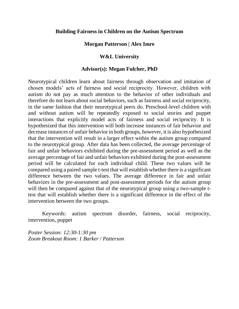## **Building Fairness in Children on the Autism Spectrum**

## **Morgan Patterson | Alex Imre**

## **W&L University**

## **Advisor(s): Megan Fulcher, PhD**

Neurotypical children learn about fairness through observation and imitation of chosen models' acts of fairness and social reciprocity. However, children with autism do not pay as much attention to the behavior of other individuals and therefore do not learn about social behaviors, such as fairness and social reciprocity, in the same fashion that their neurotypical peers do. Preschool-level children with and without autism will be repeatedly exposed to social stories and puppet interactions that explicitly model acts of fairness and social reciprocity. It is hypothesized that this intervention will both increase instances of fair behavior and decrease instances of unfair behavior in both groups, however, it is also hypothesized that the intervention will result in a larger effect within the autism group compared to the neurotypical group. After data has been collected, the average percentage of fair and unfair behaviors exhibited during the pre-assessment period as well as the average percentage of fair and unfair behaviors exhibited during the post-assessment period will be calculated for each individual child. These two values will be compared using a paired sample t-test that will establish whether there is a significant difference between the two values. The average difference in fair and unfair behaviors in the pre-assessment and post-assessment periods for the autism group will then be compared against that of the neurotypical group using a two-sample ttest that will establish whether there is a significant difference in the effect of the intervention between the two groups.

Keywords: autism spectrum disorder, fairness, social reciprocity, intervention, puppet

*Poster Session: 12:30-1:30 pm Zoom Breakout Room: 1 Barker / Patterson*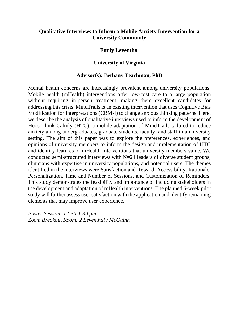# **Qualitative Interviews to Inform a Mobile Anxiety Intervention for a University Community**

## **Emily Leventhal**

## **University of Virginia**

## **Advisor(s): Bethany Teachman, PhD**

Mental health concerns are increasingly prevalent among university populations. Mobile health (mHealth) interventions offer low-cost care to a large population without requiring in-person treatment, making them excellent candidates for addressing this crisis. MindTrails is an existing intervention that uses Cognitive Bias Modification for Interpretations (CBM-I) to change anxious thinking patterns. Here, we describe the analysis of qualitative interviews used to inform the development of Hoos Think Calmly (HTC), a mobile adaptation of MindTrails tailored to reduce anxiety among undergraduates, graduate students, faculty, and staff in a university setting. The aim of this paper was to explore the preferences, experiences, and opinions of university members to inform the design and implementation of HTC and identify features of mHealth interventions that university members value. We conducted semi-structured interviews with N=24 leaders of diverse student groups, clinicians with expertise in university populations, and potential users. The themes identified in the interviews were Satisfaction and Reward, Accessibility, Rationale, Personalization, Time and Number of Sessions, and Customization of Reminders. This study demonstrates the feasibility and importance of including stakeholders in the development and adaptation of mHealth interventions. The planned 6-week pilot study will further assess user satisfaction with the application and identify remaining elements that may improve user experience.

*Poster Session: 12:30-1:30 pm Zoom Breakout Room: 2 Leventhal / McGuinn*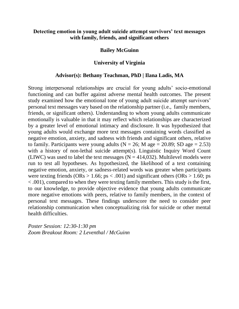## **Detecting emotion in young adult suicide attempt survivors' text messages with family, friends, and significant others**

## **Bailey McGuinn**

## **University of Virginia**

## **Advisor(s): Bethany Teachman, PhD | Ilana Ladis, MA**

Strong interpersonal relationships are crucial for young adults' socio-emotional functioning and can buffer against adverse mental health outcomes. The present study examined how the emotional tone of young adult suicide attempt survivors' personal text messages vary based on the relationship partner (i.e., family members, friends, or significant others). Understanding to whom young adults communicate emotionally is valuable in that it may reflect which relationships are characterized by a greater level of emotional intimacy and disclosure. It was hypothesized that young adults would exchange more text messages containing words classified as negative emotion, anxiety, and sadness with friends and significant others, relative to family. Participants were young adults ( $N = 26$ ; M age = 20.89; SD age = 2.53) with a history of non-lethal suicide attempt(s). Linguistic Inquiry Word Count (LIWC) was used to label the text messages ( $N = 414,032$ ). Multilevel models were run to test all hypotheses. As hypothesized, the likelihood of a text containing negative emotion, anxiety, or sadness-related words was greater when participants were texting friends (ORs  $> 1.66$ ; ps  $< .001$ ) and significant others (ORs  $> 1.60$ ; ps < .001), compared to when they were texting family members. This study is the first, to our knowledge, to provide objective evidence that young adults communicate more negative emotions with peers, relative to family members, in the context of personal text messages. These findings underscore the need to consider peer relationship communication when conceptualizing risk for suicide or other mental health difficulties.

*Poster Session: 12:30-1:30 pm Zoom Breakout Room: 2 Leventhal / McGuinn*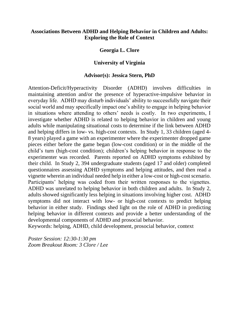# **Associations Between ADHD and Helping Behavior in Children and Adults: Exploring the Role of Context**

## **Georgia L. Clore**

## **University of Virginia**

## **Advisor(s): Jessica Stern, PhD**

Attention-Deficit/Hyperactivity Disorder (ADHD) involves difficulties in maintaining attention and/or the presence of hyperactive-impulsive behavior in everyday life. ADHD may disturb individuals' ability to successfully navigate their social world and may specifically impact one's ability to engage in helping behavior in situations where attending to others' needs is costly. In two experiments, I investigate whether ADHD is related to helping behavior in children and young adults while manipulating situational costs to determine if the link between ADHD and helping differs in low- vs. high-cost contexts. In Study 1, 33 children (aged 4- 8 years) played a game with an experimenter where the experimenter dropped game pieces either before the game began (low-cost condition) or in the middle of the child's turn (high-cost condition); children's helping behavior in response to the experimenter was recorded. Parents reported on ADHD symptoms exhibited by their child. In Study 2, 394 undergraduate students (aged 17 and older) completed questionnaires assessing ADHD symptoms and helping attitudes, and then read a vignette wherein an individual needed help in either a low-cost or high-cost scenario. Participants' helping was coded from their written responses to the vignettes. ADHD was unrelated to helping behavior in both children and adults. In Study 2, adults showed significantly less helping in situations involving higher cost. ADHD symptoms did not interact with low- or high-cost contexts to predict helping behavior in either study. Findings shed light on the role of ADHD in predicting helping behavior in different contexts and provide a better understanding of the developmental components of ADHD and prosocial behavior.

Keywords: helping, ADHD, child development, prosocial behavior, context

*Poster Session: 12:30-1:30 pm Zoom Breakout Room: 3 Clore / Lee*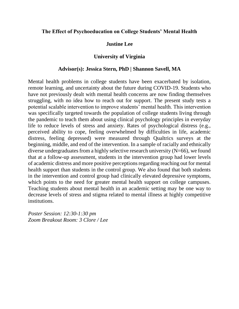## **The Effect of Psychoeducation on College Students' Mental Health**

## **Justine Lee**

## **University of Virginia**

## **Advisor(s): Jessica Stern, PhD | Shannon Savell, MA**

Mental health problems in college students have been exacerbated by isolation, remote learning, and uncertainty about the future during COVID-19. Students who have not previously dealt with mental health concerns are now finding themselves struggling, with no idea how to reach out for support. The present study tests a potential scalable intervention to improve students' mental health. This intervention was specifically targeted towards the population of college students living through the pandemic to teach them about using clinical psychology principles in everyday life to reduce levels of stress and anxiety. Rates of psychological distress (e.g., perceived ability to cope, feeling overwhelmed by difficulties in life, academic distress, feeling depressed) were measured through Qualtrics surveys at the beginning, middle, and end of the intervention. In a sample of racially and ethnically diverse undergraduates from a highly selective research university (N=66), we found that at a follow-up assessment, students in the intervention group had lower levels of academic distress and more positive perceptions regarding reaching out for mental health support than students in the control group. We also found that both students in the intervention and control group had clinically elevated depressive symptoms, which points to the need for greater mental health support on college campuses. Teaching students about mental health in an academic setting may be one way to decrease levels of stress and stigma related to mental illness at highly competitive institutions.

*Poster Session: 12:30-1:30 pm Zoom Breakout Room: 3 Clore / Lee*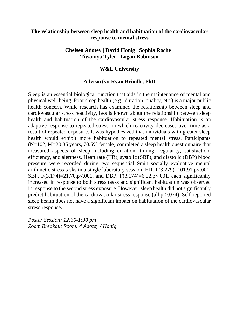# **The relationship between sleep health and habituation of the cardiovascular response to mental stress**

# **Chelsea Adotey | David Honig | Sophia Roche | Tiwaniya Tyler | Logan Robinson**

## **W&L University**

## **Advisor(s): Ryan Brindle, PhD**

Sleep is an essential biological function that aids in the maintenance of mental and physical well-being. Poor sleep health (e.g., duration, quality, etc.) is a major public health concern. While research has examined the relationship between sleep and cardiovascular stress reactivity, less is known about the relationship between sleep health and habituation of the cardiovascular stress response. Habituation is an adaptive response to repeated stress, in which reactivity decreases over time as a result of repeated exposure. It was hypothesized that individuals with greater sleep health would exhibit more habituation to repeated mental stress. Participants  $(N=102, M=20.85$  years, 70.5% female) completed a sleep health questionnaire that measured aspects of sleep including duration, timing, regularity, satisfaction, efficiency, and alertness. Heart rate (HR), systolic (SBP), and diastolic (DBP) blood pressure were recorded during two sequential 9min socially evaluative mental arithmetic stress tasks in a single laboratory session. HR, F(3,279)=101.91,p<.001, SBP, F(3,174)=21.70,p<.001, and DBP, F(3,174)=6.22,p<.001, each significantly increased in response to both stress tasks and significant habituation was observed in response to the second stress exposure. However, sleep health did not significantly predict habituation of the cardiovascular stress response (all p >.074). Self-reported sleep health does not have a significant impact on habituation of the cardiovascular stress response.

*Poster Session: 12:30-1:30 pm Zoom Breakout Room: 4 Adotey / Honig*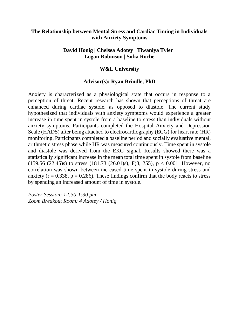# **The Relationship between Mental Stress and Cardiac Timing in Individuals with Anxiety Symptoms**

# **David Honig | Chelsea Adotey | Tiwaniya Tyler | Logan Robinson | Sofia Roche**

## **W&L University**

## **Advisor(s): Ryan Brindle, PhD**

Anxiety is characterized as a physiological state that occurs in response to a perception of threat. Recent research has shown that perceptions of threat are enhanced during cardiac systole, as opposed to diastole. The current study hypothesized that individuals with anxiety symptoms would experience a greater increase in time spent in systole from a baseline to stress than individuals without anxiety symptoms. Participants completed the Hospital Anxiety and Depression Scale (HADS) after being attached to electrocardiography (ECG) for heart rate (HR) monitoring. Participants completed a baseline period and socially evaluative mental, arithmetic stress phase while HR was measured continuously. Time spent in systole and diastole was derived from the EKG signal. Results showed there was a statistically significant increase in the mean total time spent in systole from baseline (159.56 (22.45)s) to stress (181.73 (26.01)s), F(3, 255),  $p < 0.001$ . However, no correlation was shown between increased time spent in systole during stress and anxiety ( $r = 0.338$ ,  $p = 0.286$ ). These findings confirm that the body reacts to stress by spending an increased amount of time in systole.

*Poster Session: 12:30-1:30 pm Zoom Breakout Room: 4 Adotey / Honig*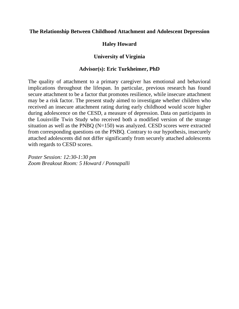## **The Relationship Between Childhood Attachment and Adolescent Depression**

# **Haley Howard**

# **University of Virginia**

## **Advisor(s): Eric Turkheimer, PhD**

The quality of attachment to a primary caregiver has emotional and behavioral implications throughout the lifespan. In particular, previous research has found secure attachment to be a factor that promotes resilience, while insecure attachment may be a risk factor. The present study aimed to investigate whether children who received an insecure attachment rating during early childhood would score higher during adolescence on the CESD, a measure of depression. Data on participants in the Louisville Twin Study who received both a modified version of the strange situation as well as the PNBQ (N=150) was analyzed. CESD scores were extracted from corresponding questions on the PNBQ. Contrary to our hypothesis, insecurely attached adolescents did not differ significantly from securely attached adolescents with regards to CESD scores.

*Poster Session: 12:30-1:30 pm Zoom Breakout Room: 5 Howard / Ponnapalli*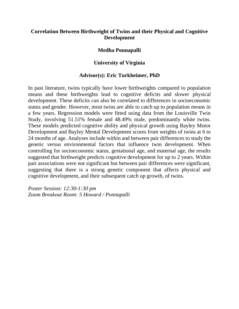# **Correlation Between Birthweight of Twins and their Physical and Cognitive Development**

## **Medha Ponnapalli**

# **University of Virginia**

## **Advisor(s): Eric Turkheimer, PhD**

In past literature, twins typically have lower birthweights compared to population means and these birthweights lead to cognitive deficits and slower physical development. These deficits can also be correlated to differences in socioeconomic status and gender. However, most twins are able to catch up to population means in a few years. Regression models were fitted using data from the Louisville Twin Study, involving 51.51% female and 48.49% male, predominantly white twins. These models predicted cognitive ability and physical growth using Bayley Motor Development and Bayley Mental Development scores from weights of twins at 6 to 24 months of age. Analyses include within and between pair differences to study the genetic versus environmental factors that influence twin development. When controlling for socioeconomic status, gestational age, and maternal age, the results suggested that birthweight predicts cognitive development for up to 2 years. Within pair associations were not significant but between pair differences were significant, suggesting that there is a strong genetic component that affects physical and cognitive development, and their subsequent catch up growth, of twins.

*Poster Session: 12:30-1:30 pm Zoom Breakout Room: 5 Howard / Ponnapalli*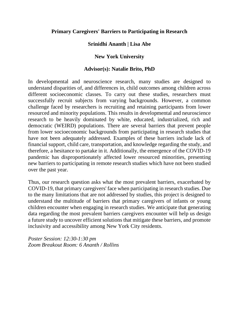# **Primary Caregivers' Barriers to Participating in Research**

# **Srinidhi Ananth | Lisa Abe**

# **New York University**

# **Advisor(s): Natalie Brito, PhD**

In developmental and neuroscience research, many studies are designed to understand disparities of, and differences in, child outcomes among children across different socioeconomic classes. To carry out these studies, researchers must successfully recruit subjects from varying backgrounds. However, a common challenge faced by researchers is recruiting and retaining participants from lower resourced and minority populations. This results in developmental and neuroscience research to be heavily dominated by white, educated, industrialized, rich and democratic (WEIRD) populations. There are several barriers that prevent people from lower socioeconomic backgrounds from participating in research studies that have not been adequately addressed. Examples of these barriers include lack of financial support, child care, transportation, and knowledge regarding the study, and therefore, a hesitance to partake in it. Additionally, the emergence of the COVID-19 pandemic has disproportionately affected lower resourced minorities, presenting new barriers to participating in remote research studies which have not been studied over the past year.

Thus, our research question asks what the most prevalent barriers, exacerbated by COVID-19, that primary caregivers' face when participating in research studies. Due to the many limitations that are not addressed by studies, this project is designed to understand the multitude of barriers that primary caregivers of infants or young children encounter when engaging in research studies. We anticipate that generating data regarding the most prevalent barriers caregivers encounter will help us design a future study to uncover efficient solutions that mitigate these barriers, and promote inclusivity and accessibility among New York City residents.

*Poster Session: 12:30-1:30 pm Zoom Breakout Room: 6 Ananth / Rollins*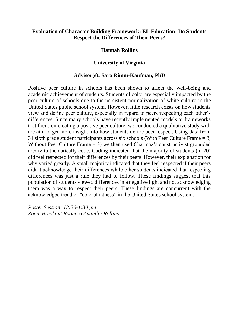# **Evaluation of Character Building Framework: EL Education: Do Students Respect the Differences of Their Peers?**

## **Hannah Rollins**

## **University of Virginia**

### **Advisor(s): Sara Rimm-Kaufman, PhD**

Positive peer culture in schools has been shown to affect the well-being and academic achievement of students. Students of color are especially impacted by the peer culture of schools due to the persistent normalization of white culture in the United States public school system. However, little research exists on how students view and define peer culture, especially in regard to peers respecting each other's differences. Since many schools have recently implemented models or frameworks that focus on creating a positive peer culture, we conducted a qualitative study with the aim to get more insight into how students define peer respect. Using data from 31 sixth grade student participants across six schools (With Peer Culture Frame = 3, Without Peer Culture Frame  $= 3$ ) we then used Charmaz's constructivist grounded theory to thematically code. Coding indicated that the majority of students (n=20) did feel respected for their differences by their peers. However, their explanation for why varied greatly. A small majority indicated that they feel respected if their peers didn't acknowledge their differences while other students indicated that respecting differences was just a rule they had to follow. These findings suggest that this population of students viewed differences in a negative light and not acknowledging them was a way to respect their peers. These findings are concurrent with the acknowledged trend of "colorblindness" in the United States school system.

*Poster Session: 12:30-1:30 pm Zoom Breakout Room: 6 Ananth / Rollins*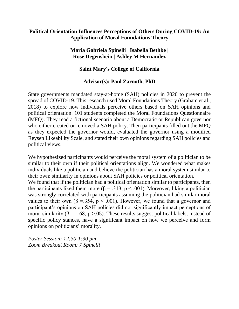# **Political Orientation Influences Perceptions of Others During COVID-19: An Application of Moral Foundations Theory**

# **Maria Gabriela Spinelli | Isabella Bethke | Rose Degenshein | Ashley M Hernandez**

# **Saint Mary's College of California**

# **Advisor(s): Paul Zarnoth, PhD**

State governments mandated stay-at-home (SAH) policies in 2020 to prevent the spread of COVID-19. This research used Moral Foundations Theory (Graham et al., 2018) to explore how individuals perceive others based on SAH opinions and political orientation. 101 students completed the Moral Foundations Questionnaire (MFQ). They read a fictional scenario about a Democratic or Republican governor who either created or removed a SAH policy. Then participants filled out the MFQ as they expected the governor would, evaluated the governor using a modified Reysen Likeability Scale, and stated their own opinions regarding SAH policies and political views.

We hypothesized participants would perceive the moral system of a politician to be similar to their own if their political orientations align. We wondered what makes individuals like a politician and believe the politician has a moral system similar to their own: similarity in opinions about SAH policies or political orientation.

We found that if the politician had a political orientation similar to participants, then the participants liked them more ( $\beta = .313$ ,  $p < .001$ ). Moreover, liking a politician was strongly correlated with participants assuming the politician had similar moral values to their own ( $\beta = 354$ ,  $p < .001$ ). However, we found that a governor and participant's opinions on SAH policies did not significantly impact perceptions of moral similarity ( $\beta = .168$ ,  $p > .05$ ). These results suggest political labels, instead of specific policy stances, have a significant impact on how we perceive and form opinions on politicians' morality.

*Poster Session: 12:30-1:30 pm Zoom Breakout Room: 7 Spinelli*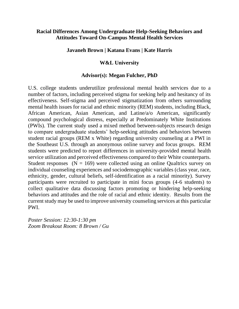# **Racial Differences Among Undergraduate Help-Seeking Behaviors and Attitudes Toward On-Campus Mental Health Services**

# **Javaneh Brown | Katana Evans | Kate Harris**

# **W&L University**

# **Advisor(s): Megan Fulcher, PhD**

U.S. college students underutilize professional mental health services due to a number of factors, including perceived stigma for seeking help and hesitancy of its effectiveness. Self-stigma and perceived stigmatization from others surrounding mental health issues for racial and ethnic minority (REM) students, including Black, African American, Asian American, and Latine/a/o American, significantly compound psychological distress, especially at Predominately White Institutions (PWIs). The current study used a mixed method between-subjects research design to compare undergraduate students' help-seeking attitudes and behaviors between student racial groups (REM x White) regarding university counseling at a PWI in the Southeast U.S. through an anonymous online survey and focus groups. REM students were predicted to report differences in university-provided mental health service utilization and perceived effectiveness compared to their White counterparts. Student responses  $(N = 169)$  were collected using an online Qualtrics survey on individual counseling experiences and sociodemographic variables (class year, race, ethnicity, gender, cultural beliefs, self-identification as a racial minority). Survey participants were recruited to participate in mini focus groups (4-6 students) to collect qualitative data discussing factors promoting or hindering help-seeking behaviors and attitudes and the role of racial and ethnic identity. Results from the current study may be used to improve university counseling services at this particular PWI.

*Poster Session: 12:30-1:30 pm Zoom Breakout Room: 8 Brown / Gu*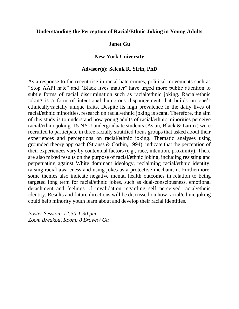## **Understanding the Perception of Racial/Ethnic Joking in Young Adults**

## **Janet Gu**

## **New York University**

### **Advisor(s): Selcuk R. Sirin, PhD**

As a response to the recent rise in racial hate crimes, political movements such as "Stop AAPI hate" and "Black lives matter" have urged more public attention to subtle forms of racial discrimination such as racial/ethnic joking. Racial/ethnic joking is a form of intentional humorous disparagement that builds on one's ethnically/racially unique traits. Despite its high prevalence in the daily lives of racial/ethnic minorities, research on racial/ethnic joking is scant. Therefore, the aim of this study is to understand how young adults of racial/ethnic minorities perceive racial/ethnic joking. 15 NYU undergraduate students (Asian, Black & Latinx) were recruited to participate in three racially stratified focus groups that asked about their experiences and perceptions on racial/ethnic joking. Thematic analyses using grounded theory approach (Strauss & Corbin, 1994) indicate that the perception of their experiences vary by contextual factors (e.g., race, intention, proximity). There are also mixed results on the purpose of racial/ethnic joking, including resisting and perpetuating against White dominant ideology, reclaiming racial/ethnic identity, raising racial awareness and using jokes as a protective mechanism. Furthermore, some themes also indicate negative mental health outcomes in relation to being targeted long term for racial/ethnic jokes, such as dual-consciousness, emotional detachment and feelings of invalidation regarding self perceived racial/ethnic identity. Results and future directions will be discussed on how racial/ethnic joking could help minority youth learn about and develop their racial identities.

*Poster Session: 12:30-1:30 pm Zoom Breakout Room: 8 Brown / Gu*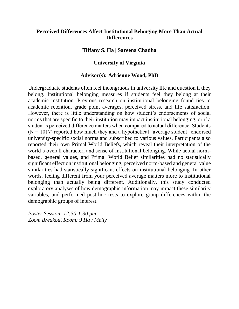# **Perceived Differences Affect Institutional Belonging More Than Actual Differences**

## **Tiffany S. Ha | Sareena Chadha**

# **University of Virginia**

## **Advisor(s): Adrienne Wood, PhD**

Undergraduate students often feel incongruous in university life and question if they belong. Institutional belonging measures if students feel they belong at their academic institution. Previous research on institutional belonging found ties to academic retention, grade point averages, perceived stress, and life satisfaction. However, there is little understanding on how student's endorsements of social norms that are specific to their institution may impact institutional belonging, or if a student's perceived difference matters when compared to actual difference. Students  $(N = 1017)$  reported how much they and a hypothetical "average student" endorsed university-specific social norms and subscribed to various values. Participants also reported their own Primal World Beliefs, which reveal their interpretation of the world's overall character, and sense of institutional belonging. While actual normbased, general values, and Primal World Belief similarities had no statistically significant effect on institutional belonging, perceived norm-based and general value similarities had statistically significant effects on institutional belonging. In other words, feeling different from your perceived average matters more to institutional belonging than actually being different. Additionally, this study conducted exploratory analyses of how demographic information may impact these similarity variables, and performed post-hoc tests to explore group differences within the demographic groups of interest.

*Poster Session: 12:30-1:30 pm Zoom Breakout Room: 9 Ha / Melly*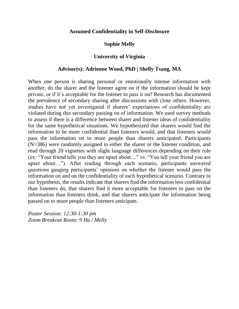## **Assumed Confidentiality in Self-Disclosure**

## **Sophie Melly**

## **University of Virginia**

## **Advisor(s): Adrienne Wood, PhD | Shelly Tsang, MA**

When one person is sharing personal or emotionally intense information with another, do the sharer and the listener agree on if the information should be kept private, or if it's acceptable for the listener to pass it on? Research has documented the prevalence of secondary sharing after discussions with close others. However, studies have not yet investigated if sharers' expectations of confidentiality are violated during this secondary passing on of information. We used survey methods to assess if there is a difference between sharer and listener ideas of confidentiality for the same hypothetical situations. We hypothesized that sharers would find the information to be more confidential than listeners would, and that listeners would pass the information on to more people than sharers anticipated. Participants (N=386) were randomly assigned to either the sharer or the listener condition, and read through 20 vignettes with slight language differences depending on their role (ex: "Your friend tells you they are upset about…" vs. "You tell your friend you are upset about…"). After reading through each scenario, participants answered questions gauging participants' opinions on whether the listener would pass the information on and on the confidentiality of each hypothetical scenario. Contrary to our hypothesis, the results indicate that sharers find the information less confidential than listeners do, that sharers find it more acceptable for listeners to pass on the information than listeners think, and that sharers anticipate the information being passed on to more people than listeners anticipate.

*Poster Session: 12:30-1:30 pm Zoom Breakout Room: 9 Ha / Melly*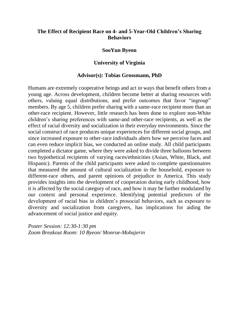# **The Effect of Recipient Race on 4- and 5-Year-Old Children's Sharing Behaviors**

## **SooYun Byeon**

### **University of Virginia**

#### **Advisor(s): Tobias Grossmann, PhD**

Humans are extremely cooperative beings and act in ways that benefit others from a young age. Across development, children become better at sharing resources with others, valuing equal distributions, and prefer outcomes that favor "ingroup" members. By age 5, children prefer sharing with a same-race recipient more than an other-race recipient. However, little research has been done to explore non-White children's sharing preferences with same-and other-race recipients, as well as the effect of racial diversity and socialization in their everyday environments. Since the social construct of race produces unique experiences for different social groups, and since increased exposure to other-race individuals alters how we perceive faces and can even reduce implicit bias, we conducted an online study. All child participants completed a dictator game, where they were asked to divide three balloons between two hypothetical recipients of varying races/ethnicities (Asian, White, Black, and Hispanic). Parents of the child participants were asked to complete questionnaires that measured the amount of cultural socialization in the household, exposure to different-race others, and parent opinions of prejudice in America. This study provides insights into the development of cooperation during early childhood, how it is affected by the social category of race, and how it may be further modulated by our context and personal experience. Identifying potential predictors of the development of racial bias in children's prosocial behaviors, such as exposure to diversity and socialization from caregivers, has implications for aiding the advancement of social justice and equity.

*Poster Session: 12:30-1:30 pm Zoom Breakout Room: 10 Byeon/ Monroe-Mohajerin*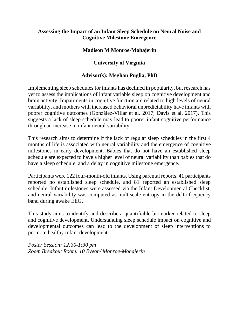# **Assessing the Impact of an Infant Sleep Schedule on Neural Noise and Cognitive Milestone Emergence**

# **Madison M Monroe-Mohajerin**

# **University of Virginia**

# **Advisor(s): Meghan Puglia, PhD**

Implementing sleep schedules for infants has declined in popularity, but research has yet to assess the implications of infant variable sleep on cognitive development and brain activity. Impairments in cognitive function are related to high levels of neural variability, and mothers with increased behavioral unpredictability have infants with poorer cognitive outcomes (González-Villar et al. 2017; Davis et al. 2017). This suggests a lack of sleep schedule may lead to poorer infant cognitive performance through an increase in infant neural variability.

This research aims to determine if the lack of regular sleep schedules in the first 4 months of life is associated with neural variability and the emergence of cognitive milestones in early development. Babies that do not have an established sleep schedule are expected to have a higher level of neural variability than babies that do have a sleep schedule, and a delay in cognitive milestone emergence.

Participants were 122 four-month-old infants. Using parental reports, 41 participants reported no established sleep schedule, and 81 reported an established sleep schedule. Infant milestones were assessed via the Infant Developmental Checklist, and neural variability was computed as multiscale entropy in the delta frequency band during awake EEG.

This study aims to identify and describe a quantifiable biomarker related to sleep and cognitive development. Understanding sleep schedule impact on cognitive and developmental outcomes can lead to the development of sleep interventions to promote healthy infant development.

*Poster Session: 12:30-1:30 pm Zoom Breakout Room: 10 Byeon/ Monroe-Mohajerin*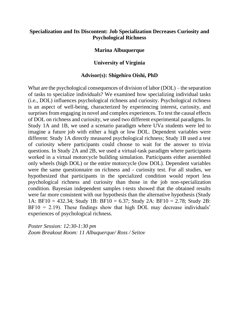# **Specialization and Its Discontent: Job Specialization Decreases Curiosity and Psychological Richness**

## **Marina Albuquerque**

# **University of Virginia**

## **Advisor(s): Shigehiro Oishi, PhD**

What are the psychological consequences of division of labor (DOL) – the separation of tasks to specialize individuals? We examined how specializing individual tasks (i.e., DOL) influences psychological richness and curiosity. Psychological richness is an aspect of well-being, characterized by experiencing interest, curiosity, and surprises from engaging in novel and complex experiences. To test the causal effects of DOL on richness and curiosity, we used two different experimental paradigms. In Study 1A and 1B, we used a scenario paradigm where UVa students were led to imagine a future job with either a high or low DOL. Dependent variables were different: Study 1A directly measured psychological richness; Study 1B used a test of curiosity where participants could choose to wait for the answer to trivia questions. In Study 2A and 2B, we used a virtual-task paradigm where participants worked in a virtual motorcycle building simulation. Participants either assembled only wheels (high DOL) or the entire motorcycle (low DOL). Dependent variables were the same questionnaire on richness and - curiosity test. For all studies, we hypothesized that participants in the specialized condition would report less psychological richness and curiosity than those in the job non-specialization condition. Bayesian independent samples t-tests showed that the obtained results were far more consistent with our hypothesis than the alternative hypothesis (Study 1A: BF10 = 432.34; Study 1B: BF10 = 6.37; Study 2A: BF10 = 2.78; Study 2B:  $BF10 = 2.19$ ). These findings show that high DOL may decrease individuals' experiences of psychological richness.

*Poster Session: 12:30-1:30 pm Zoom Breakout Room: 11 Albuquerque/ Ross / Seitov*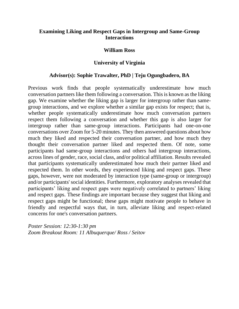# **Examining Liking and Respect Gaps in Intergroup and Same-Group Interactions**

### **William Ross**

## **University of Virginia**

## **Advisor(s): Sophie Trawalter, PhD | Teju Ogungbadero, BA**

Previous work finds that people systematically underestimate how much conversation partners like them following a conversation. This is known as the liking gap. We examine whether the liking gap is larger for intergroup rather than samegroup interactions, and we explore whether a similar gap exists for respect; that is, whether people systematically underestimate how much conversation partners respect them following a conversation and whether this gap is also larger for intergroup rather than same-group interactions. Participants had one-on-one conversations over Zoom for 5-20 minutes. They then answered questions about how much they liked and respected their conversation partner, and how much they thought their conversation partner liked and respected them. Of note, some participants had same-group interactions and others had intergroup interactions, across lines of gender, race, social class, and/or political affiliation. Results revealed that participants systematically underestimated how much their partner liked and respected them. In other words, they experienced liking and respect gaps. These gaps, however, were not moderated by interaction type (same-group or intergroup) and/or participants' social identities. Furthermore, exploratory analyses revealed that participants' liking and respect gaps were negatively correlated to partners' liking and respect gaps. These findings are important because they suggest that liking and respect gaps might be functional; these gaps might motivate people to behave in friendly and respectful ways that, in turn, alleviate liking and respect-related concerns for one's conversation partners.

*Poster Session: 12:30-1:30 pm Zoom Breakout Room: 11 Albuquerque/ Ross / Seitov*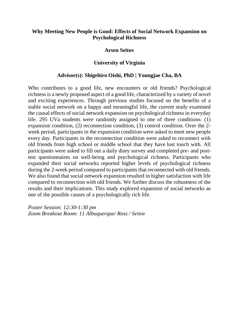# **Why Meeting New People is Good: Effects of Social Network Expansion on Psychological Richness**

## **Arsen Seitov**

# **University of Virginia**

## **Advisor(s): Shigehiro Oishi, PhD | Youngjae Cha, BA**

Who contributes to a good life, new encounters or old friends? Psychological richness is a newly proposed aspect of a good life, characterized by a variety of novel and exciting experiences. Through previous studies focused on the benefits of a stable social network on a happy and meaningful life, the current study examined the causal effects of social network expansion on psychological richness in everyday life. 295 UVa students were randomly assigned to one of three conditions: (1) expansion condition, (2) reconnection condition, (3) control condition. Over the 2 week period, participants in the expansion condition were asked to meet new people every day. Participants in the reconnection condition were asked to reconnect with old friends from high school or middle school that they have lost touch with. All participants were asked to fill out a daily diary survey and completed pre- and posttest questionnaires on well-being and psychological richness. Participants who expanded their social networks reported higher levels of psychological richness during the 2-week period compared to participants that reconnected with old friends. We also found that social network expansion resulted in higher satisfaction with life compared to reconnection with old friends. We further discuss the robustness of the results and their implications. This study explored expansion of social networks as one of the possible causes of a psychologically rich life.

*Poster Session: 12:30-1:30 pm Zoom Breakout Room: 11 Albuquerque/ Ross / Seitov*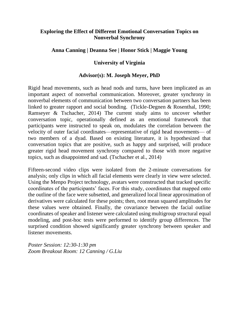# **Exploring the Effect of Different Emotional Conversation Topics on Nonverbal Synchrony**

# **Anna Canning | Deanna See | Honor Stick | Maggie Young**

# **University of Virginia**

# **Advisor(s): M. Joseph Meyer, PhD**

Rigid head movements, such as head nods and turns, have been implicated as an important aspect of nonverbal communication. Moreover, greater synchrony in nonverbal elements of communication between two conversation partners has been linked to greater rapport and social bonding. (Tickle-Degnen & Rosenthal, 1990; Ramseyer & Tschacher, 2014) The current study aims to uncover whether conversation topic, operationally defined as an emotional framework that participants were instructed to speak on, modulates the correlation between the velocity of outer facial coordinates—representative of rigid head movements— of two members of a dyad. Based on existing literature, it is hypothesized that conversation topics that are positive, such as happy and surprised, will produce greater rigid head movement synchrony compared to those with more negative topics, such as disappointed and sad. (Tschacher et al., 2014)

Fifteen-second video clips were isolated from the 2-minute conversations for analysis; only clips in which all facial elements were clearly in view were selected. Using the Menpo Project technology, avatars were constructed that tracked specific coordinates of the participants' faces. For this study, coordinates that mapped onto the outline of the face were subsetted, and generalized local linear approximation of derivatives were calculated for these points; then, root mean squared amplitudes for these values were obtained. Finally, the covariance between the facial outline coordinates of speaker and listener were calculated using multigroup structural equal modeling, and post-hoc tests were performed to identify group differences. The surprised condition showed significantly greater synchrony between speaker and listener movements.

*Poster Session: 12:30-1:30 pm Zoom Breakout Room: 12 Canning / G.Liu*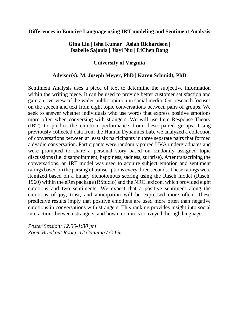## **Differences in Emotive Language using IRT modeling and Sentiment Analysis**

# **Gina Liu | Isha Kumar | Asiah Richardson | Isabelle Sajonia | Jiayi Niu | LiChen Dong**

# **University of Virginia**

## **Advisor(s): M. Joseph Meyer, PhD | Karen Schmidt, PhD**

Sentiment Analysis uses a piece of text to determine the subjective information within the writing piece. It can be used to provide better customer satisfaction and gain an overview of the wider public opinion in social media. Our research focuses on the speech and text from eight topic conversations between pairs of groups. We seek to answer whether individuals who use words that express positive emotions more often when conversing with strangers. We will use Item Response Theory (IRT) to predict the emotion performance from these paired groups. Using previously collected data from the Human Dynamics Lab, we analyzed a collection of conversations between at least six participants in three separate pairs that formed a dyadic conversation. Participants were randomly paired UVA undergraduates and were prompted to share a personal story based on randomly assigned topic discussions (i.e. disappointment, happiness, sadness, surprise). After transcribing the conversations, an IRT model was used to acquire subject emotion and sentiment ratings based on the parsing of transcriptions every three seconds. These ratings were itemized based on a binary dichotomous scoring using the Rasch model (Rasch, 1960) within the eRm package (RStudio) and the NRC lexicon, which provided eight emotions and two sentiments. We expect that a positive sentiment along the emotions of joy, trust, and anticipation will be expressed more often. These predictive results imply that positive emotions are used more often than negative emotions in conversations with strangers. This ranking provides insight into social interactions between strangers, and how emotion is conveyed through language.

*Poster Session: 12:30-1:30 pm Zoom Breakout Room: 12 Canning / G.Liu*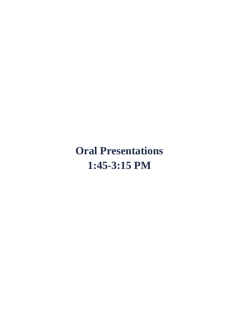**Oral Presentations 1:45-3:15 PM**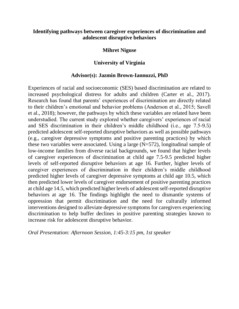# **Identifying pathways between caregiver experiences of discrimination and adolescent disruptive behaviors**

## **Mihret Niguse**

# **University of Virginia**

## **Advisor(s): Jazmin Brown-Iannuzzi, PhD**

Experiences of racial and socioeconomic (SES) based discrimination are related to increased psychological distress for adults and children (Carter et al., 2017). Research has found that parents' experiences of discrimination are directly related to their children's emotional and behavior problems (Anderson et al., 2015; Savell et al., 2018); however, the pathways by which these variables are related have been understudied. The current study explored whether caregivers' experiences of racial and SES discrimination in their children's middle childhood (i.e., age 7.5-9.5) predicted adolescent self-reported disruptive behaviors as well as possible pathways (e.g., caregiver depressive symptoms and positive parenting practices) by which these two variables were associated. Using a large  $(N=572)$ , longitudinal sample of low-income families from diverse racial backgrounds, we found that higher levels of caregiver experiences of discrimination at child age 7.5-9.5 predicted higher levels of self-reported disruptive behaviors at age 16. Further, higher levels of caregiver experiences of discrimination in their children's middle childhood predicted higher levels of caregiver depressive symptoms at child age 10.5, which then predicted lower levels of caregiver endorsement of positive parenting practices at child age 14.5, which predicted higher levels of adolescent self-reported disruptive behaviors at age 16. The findings highlight the need to dismantle systems of oppression that permit discrimination and the need for culturally informed interventions designed to alleviate depressive symptoms for caregivers experiencing discrimination to help buffer declines in positive parenting strategies known to increase risk for adolescent disruptive behavior.

*Oral Presentation: Afternoon Session, 1:45-3:15 pm, 1st speaker*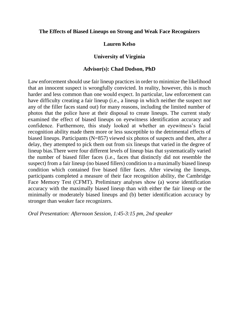## **The Effects of Biased Lineups on Strong and Weak Face Recognizers**

# **Lauren Kelso**

# **University of Virginia**

# **Advisor(s): Chad Dodson, PhD**

Law enforcement should use fair lineup practices in order to minimize the likelihood that an innocent suspect is wrongfully convicted. In reality, however, this is much harder and less common than one would expect. In particular, law enforcement can have difficulty creating a fair lineup (i.e., a lineup in which neither the suspect nor any of the filler faces stand out) for many reasons, including the limited number of photos that the police have at their disposal to create lineups. The current study examined the effect of biased lineups on eyewitness identification accuracy and confidence. Furthermore, this study looked at whether an eyewitness's facial recognition ability made them more or less susceptible to the detrimental effects of biased lineups. Participants (N=857) viewed six photos of suspects and then, after a delay, they attempted to pick them out from six lineups that varied in the degree of lineup bias.There were four different levels of lineup bias that systematically varied the number of biased filler faces (i.e., faces that distinctly did not resemble the suspect) from a fair lineup (no biased fillers) condition to a maximally biased lineup condition which contained five biased filler faces. After viewing the lineups, participants completed a measure of their face recognition ability, the Cambridge Face Memory Test (CFMT). Preliminary analyses show (a) worse identification accuracy with the maximally biased lineup than with either the fair lineup or the minimally or moderately biased lineups and (b) better identification accuracy by stronger than weaker face recognizers.

*Oral Presentation: Afternoon Session, 1:45-3:15 pm, 2nd speaker*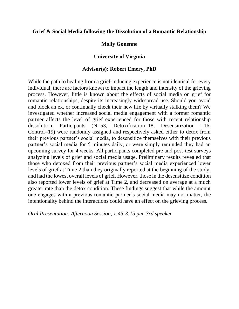## **Grief & Social Media following the Dissolution of a Romantic Relationship**

## **Molly Gonenne**

## **University of Virginia**

### **Advisor(s): Robert Emery, PhD**

While the path to healing from a grief-inducing experience is not identical for every individual, there are factors known to impact the length and intensity of the grieving process. However, little is known about the effects of social media on grief for romantic relationships, despite its increasingly widespread use. Should you avoid and block an ex, or continually check their new life by virtually stalking them? We investigated whether increased social media engagement with a former romantic partner affects the level of grief experienced for those with recent relationship dissolution. Participants  $(N=53, Detoxification=18, Desensitization =16,$ Control=19) were randomly assigned and respectively asked either to detox from their previous partner's social media, to desensitize themselves with their previous partner's social media for 5 minutes daily, or were simply reminded they had an upcoming survey for 4 weeks. All participants completed pre and post-test surveys analyzing levels of grief and social media usage. Preliminary results revealed that those who detoxed from their previous partner's social media experienced lower levels of grief at Time 2 than they originally reported at the beginning of the study, and had the lowest overall levels of grief. However, those in the desensitize condition also reported lower levels of grief at Time 2, and decreased on average at a much greater rate than the detox condition. These findings suggest that while the amount one engages with a previous romantic partner's social media may not matter, the intentionality behind the interactions could have an effect on the grieving process.

*Oral Presentation: Afternoon Session, 1:45-3:15 pm, 3rd speaker*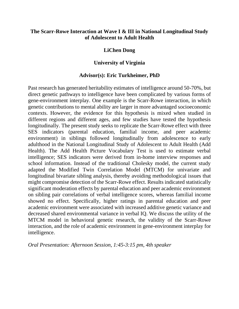# **The Scarr-Rowe Interaction at Wave I & III in National Longitudinal Study of Adolescent to Adult Health**

## **LiChen Dong**

# **University of Virginia**

## **Advisor(s): Eric Turkheimer, PhD**

Past research has generated heritability estimates of intelligence around 50-70%, but direct genetic pathways to intelligence have been complicated by various forms of gene-environment interplay. One example is the Scarr-Rowe interaction, in which genetic contributions to mental ability are larger in more advantaged socioeconomic contexts. However, the evidence for this hypothesis is mixed when studied in different regions and different ages, and few studies have tested the hypothesis longitudinally. The present study seeks to replicate the Scarr-Rowe effect with three SES indicators (parental education, familial income, and peer academic environment) in siblings followed longitudinally from adolescence to early adulthood in the National Longitudinal Study of Adolescent to Adult Health (Add Health). The Add Health Picture Vocabulary Test is used to estimate verbal intelligence; SES indicators were derived from in-home interview responses and school information. Instead of the traditional Cholesky model, the current study adapted the Modified Twin Correlation Model (MTCM) for univariate and longitudinal bivariate sibling analysis, thereby avoiding methodological issues that might compromise detection of the Scarr-Rowe effect. Results indicated statistically significant moderation effects by parental education and peer academic environment on sibling pair correlations of verbal intelligence scores, whereas familial income showed no effect. Specifically, higher ratings in parental education and peer academic environment were associated with increased additive genetic variance and decreased shared environmental variance in verbal IQ. We discuss the utility of the MTCM model in behavioral genetic research, the validity of the Scarr-Rowe interaction, and the role of academic environment in gene-environment interplay for intelligence.

*Oral Presentation: Afternoon Session, 1:45-3:15 pm, 4th speaker*